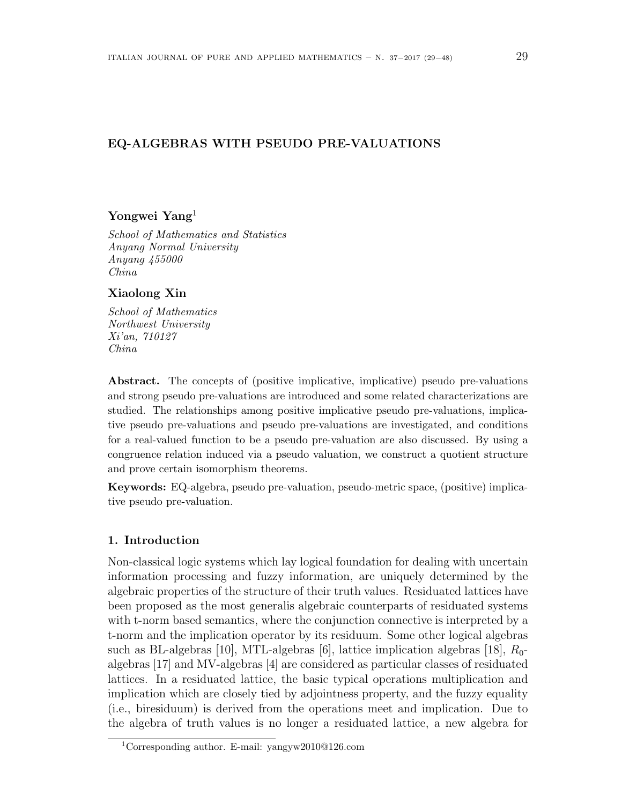# **EQ-ALGEBRAS WITH PSEUDO PRE-VALUATIONS**

## **Yongwei Yang**<sup>1</sup>

*School of Mathematics and Statistics Anyang Normal University Anyang 455000 China*

# **Xiaolong Xin**

*School of Mathematics Northwest University Xi'an, 710127 China*

**Abstract.** The concepts of (positive implicative, implicative) pseudo pre-valuations and strong pseudo pre-valuations are introduced and some related characterizations are studied. The relationships among positive implicative pseudo pre-valuations, implicative pseudo pre-valuations and pseudo pre-valuations are investigated, and conditions for a real-valued function to be a pseudo pre-valuation are also discussed. By using a congruence relation induced via a pseudo valuation, we construct a quotient structure and prove certain isomorphism theorems.

**Keywords:** EQ-algebra, pseudo pre-valuation, pseudo-metric space, (positive) implicative pseudo pre-valuation.

## **1. Introduction**

Non-classical logic systems which lay logical foundation for dealing with uncertain information processing and fuzzy information, are uniquely determined by the algebraic properties of the structure of their truth values. Residuated lattices have been proposed as the most generalis algebraic counterparts of residuated systems with t-norm based semantics, where the conjunction connective is interpreted by a t-norm and the implication operator by its residuum. Some other logical algebras such as BL-algebras [10], MTL-algebras [6], lattice implication algebras [18], *R*0 algebras [17] and MV-algebras [4] are considered as particular classes of residuated lattices. In a residuated lattice, the basic typical operations multiplication and implication which are closely tied by adjointness property, and the fuzzy equality (i.e., biresiduum) is derived from the operations meet and implication. Due to the algebra of truth values is no longer a residuated lattice, a new algebra for

<sup>1</sup>Corresponding author. E-mail: yangyw2010@126.com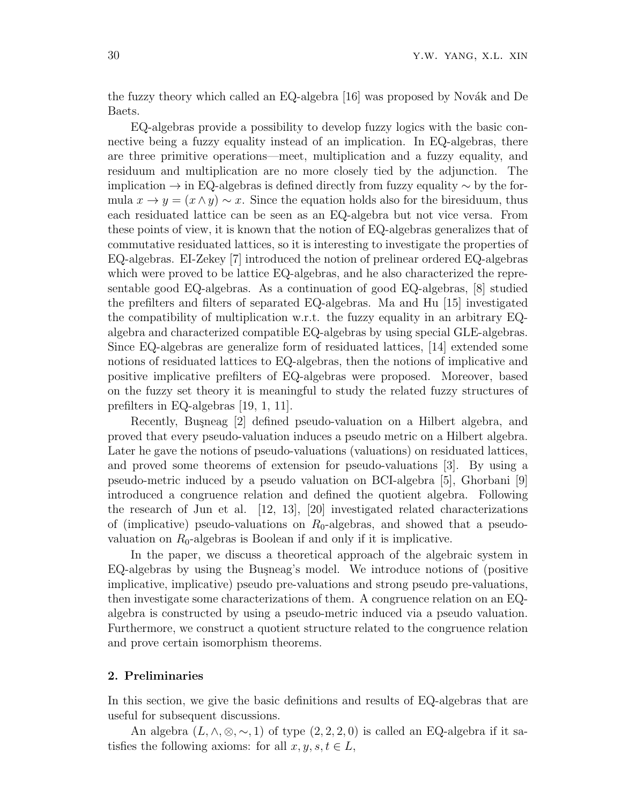the fuzzy theory which called an  $EQ$ -algebra [16] was proposed by Novák and De Baets.

EQ-algebras provide a possibility to develop fuzzy logics with the basic connective being a fuzzy equality instead of an implication. In EQ-algebras, there are three primitive operations—meet, multiplication and a fuzzy equality, and residuum and multiplication are no more closely tied by the adjunction. The implication *→* in EQ-algebras is defined directly from fuzzy equality *∼* by the formula  $x \to y = (x \land y) \sim x$ . Since the equation holds also for the biresiduum, thus each residuated lattice can be seen as an EQ-algebra but not vice versa. From these points of view, it is known that the notion of EQ-algebras generalizes that of commutative residuated lattices, so it is interesting to investigate the properties of EQ-algebras. EI-Zekey [7] introduced the notion of prelinear ordered EQ-algebras which were proved to be lattice EQ-algebras, and he also characterized the representable good EQ-algebras. As a continuation of good EQ-algebras, [8] studied the prefilters and filters of separated EQ-algebras. Ma and Hu [15] investigated the compatibility of multiplication w.r.t. the fuzzy equality in an arbitrary EQalgebra and characterized compatible EQ-algebras by using special GLE-algebras. Since EQ-algebras are generalize form of residuated lattices, [14] extended some notions of residuated lattices to EQ-algebras, then the notions of implicative and positive implicative prefilters of EQ-algebras were proposed. Moreover, based on the fuzzy set theory it is meaningful to study the related fuzzy structures of prefilters in EQ-algebras [19, 1, 11].

Recently, Buşneag [2] defined pseudo-valuation on a Hilbert algebra, and proved that every pseudo-valuation induces a pseudo metric on a Hilbert algebra. Later he gave the notions of pseudo-valuations (valuations) on residuated lattices, and proved some theorems of extension for pseudo-valuations [3]. By using a pseudo-metric induced by a pseudo valuation on BCI-algebra [5], Ghorbani [9] introduced a congruence relation and defined the quotient algebra. Following the research of Jun et al. [12, 13], [20] investigated related characterizations of (implicative) pseudo-valuations on *R*0-algebras, and showed that a pseudovaluation on  $R_0$ -algebras is Boolean if and only if it is implicative.

In the paper, we discuss a theoretical approach of the algebraic system in  $EQ$ -algebras by using the Buşneag's model. We introduce notions of (positive implicative, implicative) pseudo pre-valuations and strong pseudo pre-valuations, then investigate some characterizations of them. A congruence relation on an EQalgebra is constructed by using a pseudo-metric induced via a pseudo valuation. Furthermore, we construct a quotient structure related to the congruence relation and prove certain isomorphism theorems.

## **2. Preliminaries**

In this section, we give the basic definitions and results of EQ-algebras that are useful for subsequent discussions.

An algebra  $(L, \wedge, \otimes, \sim, 1)$  of type  $(2, 2, 2, 0)$  is called an EQ-algebra if it satisfies the following axioms: for all  $x, y, s, t \in L$ ,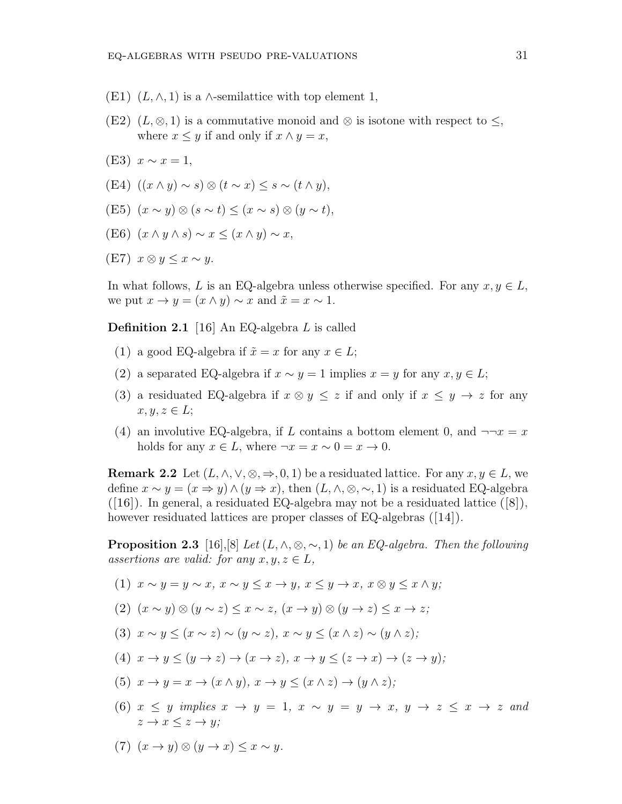- $(E1)$   $(L, \wedge, 1)$  is a  $\wedge$ -semilattice with top element 1,
- (E2)  $(L, \otimes, 1)$  is a commutative monoid and  $\otimes$  is isotone with respect to  $\leq$ , where  $x \leq y$  if and only if  $x \wedge y = x$ ,
- (E3)  $x \sim x = 1$ ,
- $(E4)$   $((x \wedge y) \sim s) \otimes (t \sim x) \leq s \sim (t \wedge y),$
- $(E5)$   $(x \sim y) \otimes (s \sim t) < (x \sim s) \otimes (y \sim t),$
- $(E6)$   $(x \wedge y \wedge s) \sim x \leq (x \wedge y) \sim x$ ,
- $(E7)$   $x \otimes y \leq x \sim y$ .

In what follows, *L* is an EQ-algebra unless otherwise specified. For any  $x, y \in L$ , we put  $x \to y = (x \land y) \sim x$  and  $\tilde{x} = x \sim 1$ .

**Definition 2.1** [16] An EQ-algebra *L* is called

- (1) a good EQ-algebra if  $\tilde{x} = x$  for any  $x \in L$ ;
- (2) a separated EQ-algebra if  $x \sim y = 1$  implies  $x = y$  for any  $x, y \in L$ ;
- (3) a residuated EQ-algebra if  $x \otimes y \leq z$  if and only if  $x \leq y \rightarrow z$  for any  $x, y, z \in L$ ;
- (4) an involutive EQ-algebra, if L contains a bottom element 0, and  $\neg\neg x = x$ holds for any  $x \in L$ , where  $\neg x = x \sim 0 = x \rightarrow 0$ .

**Remark 2.2** Let  $(L, \wedge, \vee, \otimes, \Rightarrow, 0, 1)$  be a residuated lattice. For any  $x, y \in L$ , we define  $x \sim y = (x \Rightarrow y) \wedge (y \Rightarrow x)$ , then  $(L, \wedge, \otimes, \sim, 1)$  is a residuated EQ-algebra ([16]). In general, a residuated EQ-algebra may not be a residuated lattice ([8]), however residuated lattices are proper classes of EQ-algebras ([14]).

**Proposition 2.3** [16],[8] *Let*  $(L, \wedge, \otimes, \sim, 1)$  *be an EQ-algebra. Then the following assertions are valid: for any*  $x, y, z \in L$ *,* 

- (1)  $x \sim y = y \sim x$ ,  $x \sim y \leq x \rightarrow y$ ,  $x \leq y \rightarrow x$ ,  $x \otimes y \leq x \wedge y$ ;
- (2)  $(x \sim y) \otimes (y \sim z) \leq x \sim z$ ,  $(x \rightarrow y) \otimes (y \rightarrow z) \leq x \rightarrow z$ ;
- (3)  $x \sim y \leq (x \sim z) \sim (y \sim z)$ ,  $x \sim y \leq (x \wedge z) \sim (y \wedge z)$ .
- (4)  $x \to y \le (y \to z) \to (x \to z)$ ,  $x \to y \le (z \to x) \to (z \to y)$ ;
- (5)  $x \to y = x \to (x \land y)$ ,  $x \to y \leq (x \land z) \to (y \land z)$ ;
- (6)  $x < y$  implies  $x \rightarrow y = 1$ ,  $x \sim y = y \rightarrow x$ ,  $y \rightarrow z < x \rightarrow z$  and  $z \rightarrow x \leq z \rightarrow y$ ;
- $(7)$   $(x \rightarrow y) \otimes (y \rightarrow x) \leq x \sim y$ .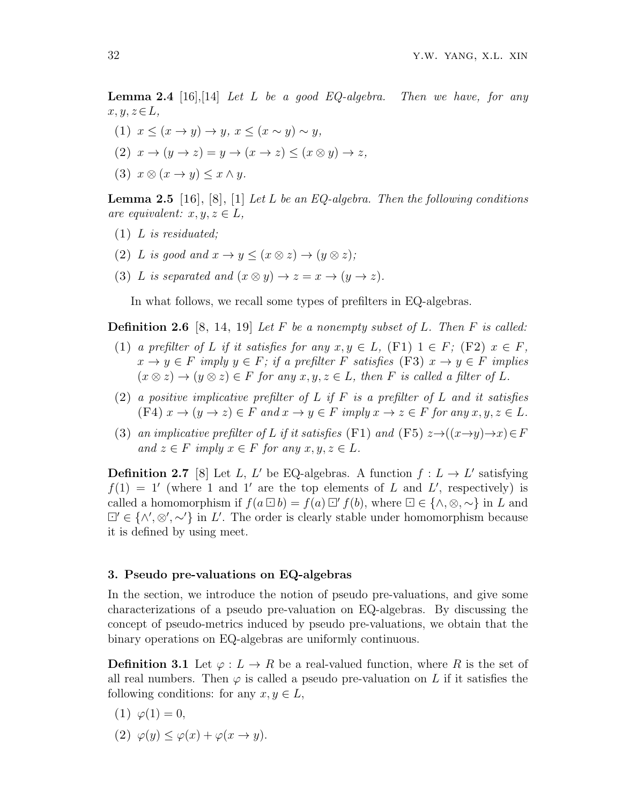**Lemma 2.4** [16],[14] *Let L be a good EQ-algebra. Then we have, for any x, y, z∈L,*

- $(1)$   $x \leq (x \to y) \to y, \ x \leq (x \sim y) \sim y,$
- $(2)$   $x \rightarrow (y \rightarrow z) = y \rightarrow (x \rightarrow z) \leq (x \otimes y) \rightarrow z$ ,
- $(3)$   $x \otimes (x \rightarrow y) \leq x \wedge y$ .

**Lemma 2.5** [16], [8], [1] *Let L be an EQ-algebra. Then the following conditions are equivalent:*  $x, y, z \in L$ *,* 

- (1) *L is residuated;*
- (2) *L is good and*  $x \to y \leq (x \otimes z) \to (y \otimes z)$ ;
- (3) *L is separated and*  $(x \otimes y) \rightarrow z = x \rightarrow (y \rightarrow z)$ *.*

In what follows, we recall some types of prefilters in EQ-algebras.

**Definition 2.6** [8, 14, 19] *Let F be a nonempty subset of L. Then F is called:*

- (1) *a prefilter of L if it satisfies for any*  $x, y \in L$ , (F1)  $1 \in F$ ; (F2)  $x \in F$ ,  $x \to y \in F$  *imply*  $y \in F$ *; if a prefilter*  $F$  *satisfies* (F3)  $x \to y \in F$  *implies*  $(x \otimes z) \rightarrow (y \otimes z) \in F$  *for any*  $x, y, z \in L$ *, then F is called a filter of L.*
- (2) *a positive implicative prefilter of L if F is a prefilter of L and it satisfies*  $(F4)x \to (y \to z) \in F$  and  $x \to y \in F$  imply  $x \to z \in F$  for any  $x, y, z \in L$ .
- (3) *an implicative prefilter of L if it satisfies* (F1) *and* (F5)  $z \rightarrow ((x \rightarrow y) \rightarrow x) \in F$  $and z \in F$  *imply*  $x \in F$  *for any*  $x, y, z \in L$ *.*

**Definition 2.7** [8] Let *L*, *L'* be EQ-algebras. A function  $f: L \to L'$  satisfying  $f(1) = 1'$  (where 1 and 1' are the top elements of *L* and *L'*, respectively) is called a homomorphism if  $f(a \Box b) = f(a) \Box' f(b)$ , where  $\Box \in \{\land, \otimes, \sim\}$  in *L* and *′ ∈ {∧′ , ⊗′ , ∼′}* in *L ′* . The order is clearly stable under homomorphism because it is defined by using meet.

## **3. Pseudo pre-valuations on EQ-algebras**

In the section, we introduce the notion of pseudo pre-valuations, and give some characterizations of a pseudo pre-valuation on EQ-algebras. By discussing the concept of pseudo-metrics induced by pseudo pre-valuations, we obtain that the binary operations on EQ-algebras are uniformly continuous.

**Definition 3.1** Let  $\varphi: L \to R$  be a real-valued function, where R is the set of all real numbers. Then  $\varphi$  is called a pseudo pre-valuation on L if it satisfies the following conditions: for any  $x, y \in L$ ,

$$
(1) \ \varphi(1) = 0,
$$

(2)  $\varphi(y) \leq \varphi(x) + \varphi(x \to y).$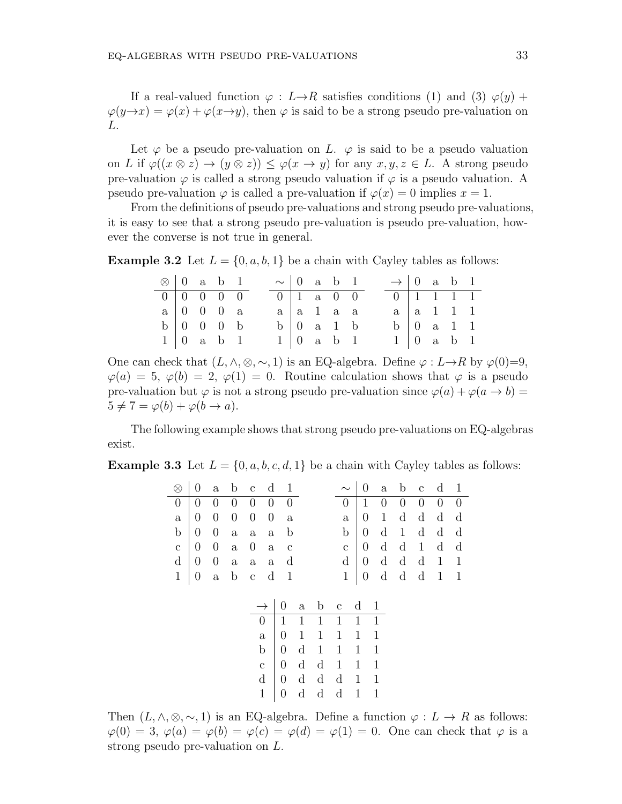If a real-valued function  $\varphi : L \rightarrow R$  satisfies conditions (1) and (3)  $\varphi(y)$  +  $\varphi(y\rightarrow x) = \varphi(x) + \varphi(x\rightarrow y)$ , then  $\varphi$  is said to be a strong pseudo pre-valuation on *L*.

Let  $\varphi$  be a pseudo pre-valuation on *L*.  $\varphi$  is said to be a pseudo valuation on *L* if  $\varphi((x \otimes z) \to (y \otimes z)) \leq \varphi(x \to y)$  for any  $x, y, z \in L$ . A strong pseudo pre-valuation  $\varphi$  is called a strong pseudo valuation if  $\varphi$  is a pseudo valuation. A pseudo pre-valuation  $\varphi$  is called a pre-valuation if  $\varphi(x) = 0$  implies  $x = 1$ .

From the definitions of pseudo pre-valuations and strong pseudo pre-valuations, it is easy to see that a strong pseudo pre-valuation is pseudo pre-valuation, however the converse is not true in general.

**Example 3.2** Let  $L = \{0, a, b, 1\}$  be a chain with Cayley tables as follows:

| $\otimes$   0 a b 1 |  |                                                 |  | $\sim$ 0 a b 1 |                                   |  | $\rightarrow$ 0 a b 1              |  |                                 |  |
|---------------------|--|-------------------------------------------------|--|----------------|-----------------------------------|--|------------------------------------|--|---------------------------------|--|
|                     |  | $0 \mid 0 \quad 0 \quad 0 \quad 0$              |  |                | $0 \mid 1 \text{ a } 0 \mid 0$    |  | $0 \mid 1 \quad 1 \quad 1 \quad 1$ |  |                                 |  |
|                     |  | $a \mid 0 \quad 0 \quad 0 \quad a$              |  |                | $a \mid a \mid 1 \quad a \quad a$ |  |                                    |  | $a \mid a \mid 1 \mid 1 \mid 1$ |  |
|                     |  | $b \begin{pmatrix} 0 & 0 & 0 & b \end{pmatrix}$ |  |                | $b \mid 0$ a 1 b                  |  |                                    |  | $b \mid 0$ a 1 1                |  |
|                     |  | $1 \mid 0$ a b 1                                |  |                | $1 \mid 0$ a b 1                  |  |                                    |  | $1 \vert 0$ a b 1               |  |

One can check that  $(L, \wedge, \otimes, \sim, 1)$  is an EQ-algebra. Define  $\varphi : L \rightarrow R$  by  $\varphi(0)=0$ ,  $\varphi(a) = 5, \varphi(b) = 2, \varphi(1) = 0.$  Routine calculation shows that  $\varphi$  is a pseudo pre-valuation but  $\varphi$  is not a strong pseudo pre-valuation since  $\varphi(a) + \varphi(a \to b) =$  $5 \neq 7 = \varphi(b) + \varphi(b \rightarrow a).$ 

The following example shows that strong pseudo pre-valuations on EQ-algebras exist.

**Example 3.3** Let  $L = \{0, a, b, c, d, 1\}$  be a chain with Cayley tables as follows:

| $\otimes$        | 0                | $\rm{a}$         | $\mathbf b$      | $\mathbf{C}$     | $\mathbf d$      | $\mathbf{1}$     |              |              |              |              | $\boldsymbol{0}$ | $\mathbf{a}$ | $\mathbf b$      | $\mathbf c$      | $\mathbf d$      | $\mathbf{1}$ |
|------------------|------------------|------------------|------------------|------------------|------------------|------------------|--------------|--------------|--------------|--------------|------------------|--------------|------------------|------------------|------------------|--------------|
| $\boldsymbol{0}$ | 0                | 0                | $\boldsymbol{0}$ | $\boldsymbol{0}$ | $\boldsymbol{0}$ | $\overline{0}$   |              |              | 0            |              | 1                | 0            | $\boldsymbol{0}$ | $\boldsymbol{0}$ | $\boldsymbol{0}$ | $\theta$     |
| $\mathbf{a}$     | $\boldsymbol{0}$ | $\theta$         | $\boldsymbol{0}$ | $\boldsymbol{0}$ | $\boldsymbol{0}$ | $\rm{a}$         |              |              | $\mathbf{a}$ |              | $\boldsymbol{0}$ | $\mathbf{1}$ | $\mathbf d$      | $\mathbf d$      | $\mathbf d$      | $\mathbf d$  |
| $\mathbf b$      | $\boldsymbol{0}$ | $\boldsymbol{0}$ | $\rm{a}$         | $\rm{a}$         | $\rm{a}$         | $\mathbf b$      |              |              | b            |              | $\boldsymbol{0}$ | $\rm d$      | $\mathbf{1}$     | $\mathbf d$      | $\mathbf d$      | $\mathbf d$  |
| $\mathbf C$      | $\boldsymbol{0}$ | $\boldsymbol{0}$ | $\rm{a}$         | $\boldsymbol{0}$ | $\rm{a}$         | $\mathbf c$      |              |              | $\mathbf{C}$ |              | $\boldsymbol{0}$ | $\mathbf d$  | $\mathbf d$      | $\mathbf{1}$     | $\mathbf d$      | $\mathbf d$  |
| $\rm d$          | $\boldsymbol{0}$ | $\boldsymbol{0}$ | $\rm{a}$         | $\rm{a}$         | $\rm{a}$         | $\mathbf d$      |              |              | $\mathbf d$  |              | $\boldsymbol{0}$ | $\mathbf d$  | $\mathbf d$      | $\mathbf d$      | $\mathbf{1}$     | $\mathbf{1}$ |
| $\mathbf{1}$     | $\boldsymbol{0}$ | $\rm{a}$         | $\mathbf b$      | $\mathbf C$      | $\mathbf d$      | $\mathbf{1}$     |              |              | $\mathbf{1}$ |              | $\boldsymbol{0}$ | $\mathbf d$  | $\mathbf d$      | $\mathbf d$      | $\mathbf{1}$     | $\mathbf{1}$ |
|                  |                  |                  |                  |                  |                  |                  |              |              |              |              |                  |              |                  |                  |                  |              |
|                  |                  |                  |                  |                  |                  | $\boldsymbol{0}$ | $\rm{a}$     | $\mathbf b$  | $\mathbf c$  | $\mathbf d$  |                  | $\mathbf{1}$ |                  |                  |                  |              |
|                  |                  |                  |                  | $\overline{0}$   |                  | $\mathbf{1}$     | 1            | 1            | 1            | 1            |                  | 1            |                  |                  |                  |              |
|                  |                  |                  |                  | $\mathbf{a}$     |                  | $\overline{0}$   | $\mathbf{1}$ | 1            | $\mathbf{1}$ | 1            |                  | 1            |                  |                  |                  |              |
|                  |                  |                  |                  | $\mathbf b$      |                  | $\boldsymbol{0}$ | $\mathbf d$  | $\mathbf{1}$ | $\mathbf{1}$ | 1            |                  | 1            |                  |                  |                  |              |
|                  |                  |                  |                  | $\mathbf c$      |                  | $\boldsymbol{0}$ | $\mathbf d$  | $\rm d$      | $\mathbf{1}$ | $\mathbf 1$  |                  | 1            |                  |                  |                  |              |
|                  |                  |                  |                  | $\rm d$          |                  | $\boldsymbol{0}$ | $\mathbf d$  | $\rm d$      | $\mathbf d$  | $\mathbf{1}$ |                  | $\mathbf{1}$ |                  |                  |                  |              |
|                  |                  |                  |                  | $\mathbf 1$      |                  | $\boldsymbol{0}$ | $\mathbf d$  | $\mathbf d$  | $\mathbf d$  | $\mathbf{1}$ |                  | 1            |                  |                  |                  |              |
|                  |                  |                  |                  |                  |                  |                  |              |              |              |              |                  |              |                  |                  |                  |              |

Then  $(L, \wedge, \otimes, \sim, 1)$  is an EQ-algebra. Define a function  $\varphi : L \to R$  as follows:  $\varphi(0) = 3$ ,  $\varphi(a) = \varphi(b) = \varphi(c) = \varphi(d) = \varphi(1) = 0$ . One can check that  $\varphi$  is a strong pseudo pre-valuation on *L*.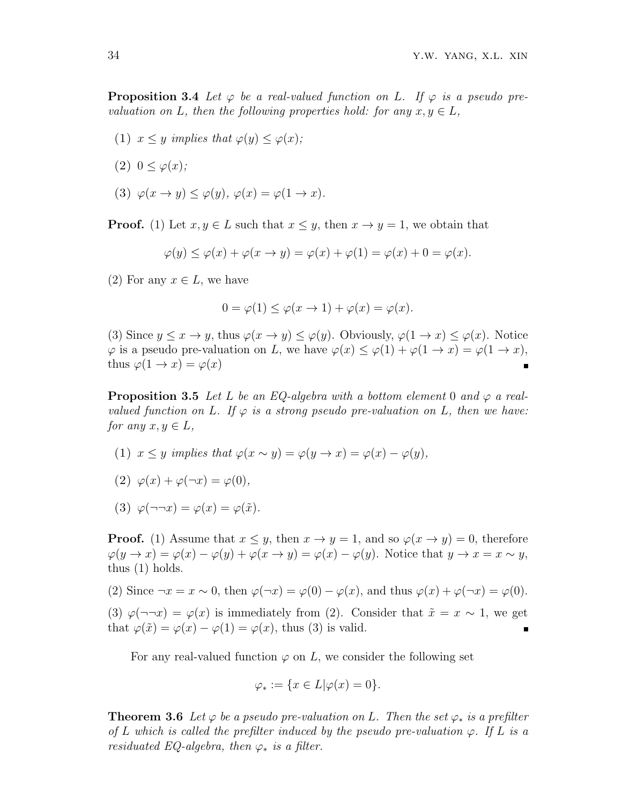**Proposition 3.4** Let  $\varphi$  be a real-valued function on L. If  $\varphi$  is a pseudo pre*valuation on L, then the following properties hold: for any*  $x, y \in L$ *,* 

- (1)  $x \leq y$  *implies that*  $\varphi(y) \leq \varphi(x)$ ;
- (2)  $0 < \varphi(x)$ ;
- (3)  $\varphi(x \to y) \leq \varphi(y)$ ,  $\varphi(x) = \varphi(1 \to x)$ .

**Proof.** (1) Let  $x, y \in L$  such that  $x \leq y$ , then  $x \to y = 1$ , we obtain that

$$
\varphi(y) \le \varphi(x) + \varphi(x \to y) = \varphi(x) + \varphi(1) = \varphi(x) + 0 = \varphi(x).
$$

(2) For any  $x \in L$ , we have

$$
0 = \varphi(1) \le \varphi(x \to 1) + \varphi(x) = \varphi(x).
$$

(3) Since  $y \leq x \to y$ , thus  $\varphi(x \to y) \leq \varphi(y)$ . Obviously,  $\varphi(1 \to x) \leq \varphi(x)$ . Notice  $\varphi$  is a pseudo pre-valuation on *L*, we have  $\varphi(x) \leq \varphi(1) + \varphi(1 \to x) = \varphi(1 \to x)$ , thus  $\varphi(1 \to x) = \varphi(x)$  $\blacksquare$ 

**Proposition 3.5** Let L be an EQ-algebra with a bottom element 0 and  $\varphi$  a real*valued function on L.* If  $\varphi$  *is a strong pseudo pre-valuation on L, then we have: for any*  $x, y \in L$ *,* 

- (1)  $x \leq y$  *implies that*  $\varphi(x \sim y) = \varphi(y \rightarrow x) = \varphi(x) \varphi(y)$ ,
- (2)  $\varphi(x) + \varphi(\neg x) = \varphi(0)$ ,
- (3)  $\varphi(\neg\neg x) = \varphi(x) = \varphi(\tilde{x})$ .

**Proof.** (1) Assume that  $x \leq y$ , then  $x \to y = 1$ , and so  $\varphi(x \to y) = 0$ , therefore  $\varphi(y \to x) = \varphi(x) - \varphi(y) + \varphi(x \to y) = \varphi(x) - \varphi(y)$ . Notice that  $y \to x = x \sim y$ , thus (1) holds.

(2) Since  $\neg x = x \sim 0$ , then  $\varphi(\neg x) = \varphi(0) - \varphi(x)$ , and thus  $\varphi(x) + \varphi(\neg x) = \varphi(0)$ .

(3)  $\varphi(\neg\neg x) = \varphi(x)$  is immediately from (2). Consider that  $\tilde{x} = x \sim 1$ , we get that  $\varphi(\tilde{x}) = \varphi(x) - \varphi(1) = \varphi(x)$ , thus (3) is valid.

For any real-valued function  $\varphi$  on *L*, we consider the following set

$$
\varphi_* := \{ x \in L | \varphi(x) = 0 \}.
$$

**Theorem 3.6** Let  $\varphi$  be a pseudo pre-valuation on L. Then the set  $\varphi_*$  is a prefilter *of L* which is called the prefilter induced by the pseudo pre-valuation  $\varphi$ . If *L* is a *residuated EQ-algebra, then*  $\varphi_*$  *is a filter.*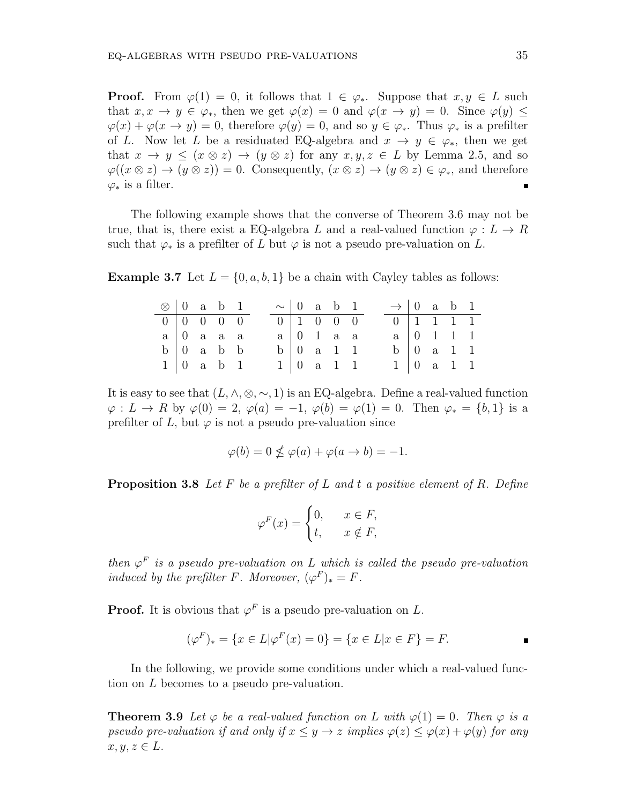**Proof.** From  $\varphi(1) = 0$ , it follows that  $1 \in \varphi_*$ . Suppose that  $x, y \in L$  such that  $x, x \to y \in \varphi_*$ , then we get  $\varphi(x) = 0$  and  $\varphi(x \to y) = 0$ . Since  $\varphi(y) \le$  $\varphi(x) + \varphi(x \to y) = 0$ , therefore  $\varphi(y) = 0$ , and so  $y \in \varphi_*$ . Thus  $\varphi_*$  is a prefilter of *L*. Now let *L* be a residuated EQ-algebra and  $x \to y \in \varphi_*$ , then we get that  $x \to y \leq (x \otimes z) \to (y \otimes z)$  for any  $x, y, z \in L$  by Lemma 2.5, and so  $\varphi((x \otimes z) \rightarrow (y \otimes z)) = 0$ . Consequently,  $(x \otimes z) \rightarrow (y \otimes z) \in \varphi_*$ , and therefore  $\varphi_*$  is a filter.

The following example shows that the converse of Theorem 3.6 may not be true, that is, there exist a EQ-algebra L and a real-valued function  $\varphi : L \to R$ such that  $\varphi_*$  is a prefilter of *L* but  $\varphi$  is not a pseudo pre-valuation on *L*.

**Example 3.7** Let  $L = \{0, a, b, 1\}$  be a chain with Cayley tables as follows:

| $\otimes$   0 a b 1 |  |                                    |  |  | $\sim$ 0 a b 1                     |  | $\rightarrow$ 0 a b 1 |                                    |  |  |
|---------------------|--|------------------------------------|--|--|------------------------------------|--|-----------------------|------------------------------------|--|--|
|                     |  | $0 \mid 0 \quad 0 \quad 0 \quad 0$ |  |  | $0 \mid 1 \quad 0 \quad 0 \quad 0$ |  |                       | $0 \mid 1 \quad 1 \quad 1 \quad 1$ |  |  |
|                     |  | $a \mid 0$ a a a                   |  |  | $a \mid 0 \quad 1 \quad a \quad a$ |  |                       | $a \mid 0 \quad 1 \quad 1 \quad 1$ |  |  |
|                     |  | $b \mid 0$ a $b$ b                 |  |  | $b \mid 0$ a 1 1                   |  |                       | $b \mid 0 \text{ a } 1 \text{ 1}$  |  |  |
|                     |  | $1 \mid 0$ a b 1                   |  |  | 1   0 a 1 1                        |  |                       | $1 \ 0 \ a \ 1 \ 1$                |  |  |

It is easy to see that  $(L, \wedge, \otimes, \sim, 1)$  is an EQ-algebra. Define a real-valued function  $\varphi: L \to R$  by  $\varphi(0) = 2$ ,  $\varphi(a) = -1$ ,  $\varphi(b) = \varphi(1) = 0$ . Then  $\varphi_* = \{b, 1\}$  is a prefilter of *L*, but  $\varphi$  is not a pseudo pre-valuation since

$$
\varphi(b) = 0 \nleq \varphi(a) + \varphi(a \to b) = -1.
$$

**Proposition 3.8** *Let F be a prefilter of L and t a positive element of R. Define*

$$
\varphi^F(x) = \begin{cases} 0, & x \in F, \\ t, & x \notin F, \end{cases}
$$

*then*  $\varphi^F$  *is a pseudo pre-valuation on L which is called the pseudo pre-valuation induced by the prefilter*  $F$ *. Moreover,*  $(\varphi^F)_* = F$ *.* 

**Proof.** It is obvious that  $\varphi^F$  is a pseudo pre-valuation on *L*.

$$
(\varphi^F)_* = \{ x \in L | \varphi^F(x) = 0 \} = \{ x \in L | x \in F \} = F.
$$

In the following, we provide some conditions under which a real-valued function on *L* becomes to a pseudo pre-valuation.

**Theorem 3.9** Let  $\varphi$  be a real-valued function on L with  $\varphi(1) = 0$ . Then  $\varphi$  is a *pseudo pre-valuation if and only if*  $x \leq y \to z$  *implies*  $\varphi(z) \leq \varphi(x) + \varphi(y)$  *for any*  $x, y, z \in L$ *.*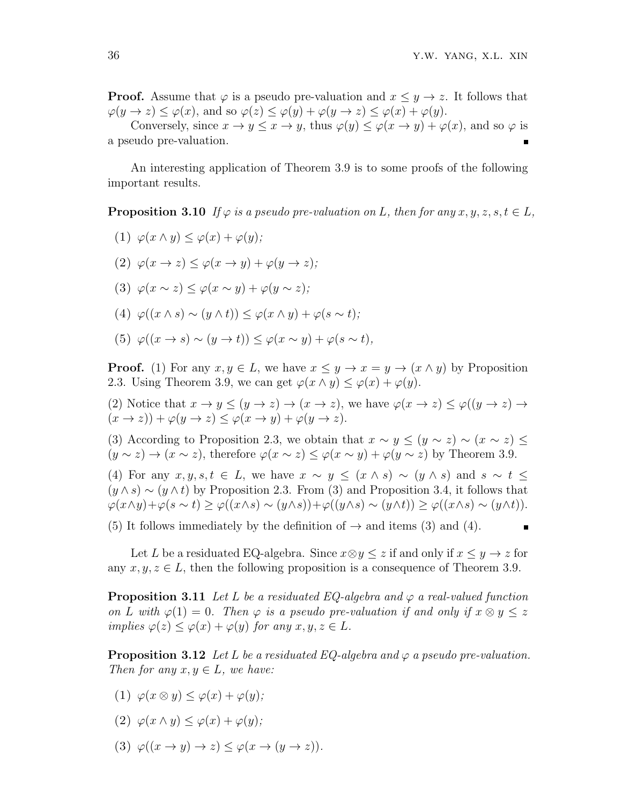**Proof.** Assume that  $\varphi$  is a pseudo pre-valuation and  $x \leq y \to z$ . It follows that  $\varphi(y \to z) \leq \varphi(x)$ , and so  $\varphi(z) \leq \varphi(y) + \varphi(y \to z) \leq \varphi(x) + \varphi(y)$ .

Conversely, since  $x \to y \leq x \to y$ , thus  $\varphi(y) \leq \varphi(x \to y) + \varphi(x)$ , and so  $\varphi$  is a pseudo pre-valuation.

An interesting application of Theorem 3.9 is to some proofs of the following important results.

**Proposition 3.10** *If*  $\varphi$  *is a pseudo pre-valuation on L, then for any*  $x, y, z, s, t \in L$ *,* 

(1) 
$$
\varphi(x \wedge y) \leq \varphi(x) + \varphi(y);
$$

- $(2)$   $\varphi(x \to z) \leq \varphi(x \to y) + \varphi(y \to z);$
- (3)  $\varphi(x \sim z) \leq \varphi(x \sim y) + \varphi(y \sim z)$ ;
- $(4)$   $\varphi((x \wedge s) \sim (y \wedge t)) \leq \varphi(x \wedge y) + \varphi(s \sim t);$
- $(5)$   $\varphi((x \to s) \sim (y \to t)) \leq \varphi(x \sim y) + \varphi(s \sim t),$

**Proof.** (1) For any  $x, y \in L$ , we have  $x \leq y \to x = y \to (x \land y)$  by Proposition 2.3. Using Theorem 3.9, we can get  $\varphi(x \wedge y) \leq \varphi(x) + \varphi(y)$ .

(2) Notice that  $x \to y \leq (y \to z) \to (x \to z)$ , we have  $\varphi(x \to z) \leq \varphi((y \to z) \to z)$  $(x \to z)$ ) +  $\varphi(y \to z) \leq \varphi(x \to y) + \varphi(y \to z)$ .

(3) According to Proposition 2.3, we obtain that  $x \sim y \leq (y \sim z) \sim (x \sim z) \leq$  $(y \sim z) \rightarrow (x \sim z)$ , therefore  $\varphi(x \sim z) \leq \varphi(x \sim y) + \varphi(y \sim z)$  by Theorem 3.9.

(4) For any  $x, y, s, t \in L$ , we have  $x \sim y \leq (x \wedge s) \sim (y \wedge s)$  and  $s \sim t \leq$  $(y \wedge s) \sim (y \wedge t)$  by Proposition 2.3. From (3) and Proposition 3.4, it follows that  $\varphi(x \wedge y) + \varphi(s \sim t) \geq \varphi((x \wedge s) \sim (y \wedge s)) + \varphi((y \wedge s) \sim (y \wedge t)) \geq \varphi((x \wedge s) \sim (y \wedge t)).$ 

(5) It follows immediately by the definition of  $\rightarrow$  and items (3) and (4).

Let *L* be a residuated EQ-algebra. Since  $x \otimes y \leq z$  if and only if  $x \leq y \to z$  for any  $x, y, z \in L$ , then the following proposition is a consequence of Theorem 3.9.

**Proposition 3.11** *Let L be a residuated EQ-algebra and φ a real-valued function on L* with  $\varphi(1) = 0$ . Then  $\varphi$  *is a pseudo pre-valuation if and only if*  $x \otimes y \leq z$ *implies*  $\varphi(z) \leq \varphi(x) + \varphi(y)$  *for any*  $x, y, z \in L$ *.* 

**Proposition 3.12** *Let*  $L$  *be a residuated EQ-algebra and*  $\varphi$  *a pseudo pre-valuation. Then for any*  $x, y \in L$ *, we have:* 

- (1)  $\varphi(x \otimes y) \leq \varphi(x) + \varphi(y)$ ;
- $(2)$   $\varphi(x \wedge y) \leq \varphi(x) + \varphi(y)$ ;
- (3)  $\varphi((x \to y) \to z) \leq \varphi(x \to (y \to z)).$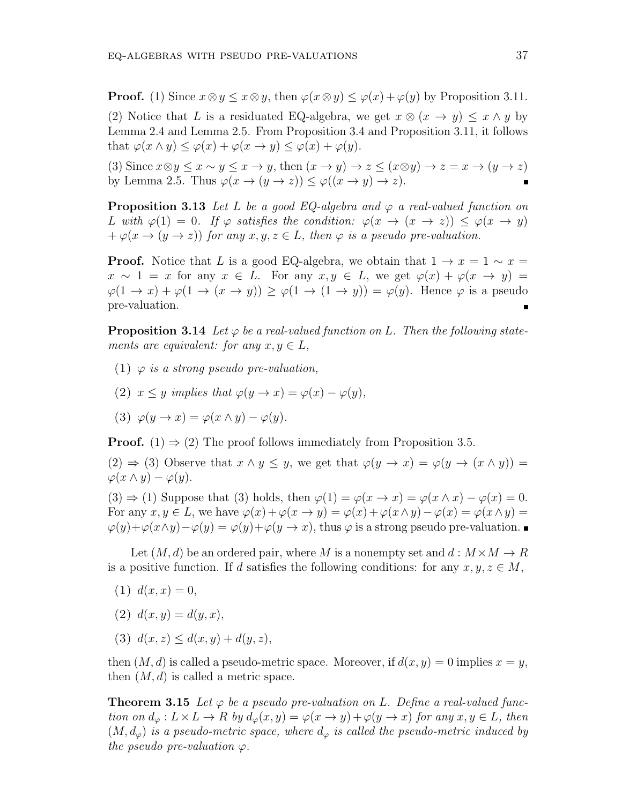**Proof.** (1) Since  $x \otimes y \leq x \otimes y$ , then  $\varphi(x \otimes y) \leq \varphi(x) + \varphi(y)$  by Proposition 3.11. (2) Notice that *L* is a residuated EQ-algebra, we get  $x \otimes (x \rightarrow y) \leq x \wedge y$  by Lemma 2.4 and Lemma 2.5. From Proposition 3.4 and Proposition 3.11, it follows that  $\varphi(x \wedge y) \leq \varphi(x) + \varphi(x \rightarrow y) \leq \varphi(x) + \varphi(y)$ .

(3) Since  $x \otimes y \leq x \sim y \leq x \rightarrow y$ , then  $(x \rightarrow y) \rightarrow z \leq (x \otimes y) \rightarrow z = x \rightarrow (y \rightarrow z)$ by Lemma 2.5. Thus  $\varphi(x \to (y \to z)) \leq \varphi((x \to y) \to z)$ .

**Proposition 3.13** *Let L be a good EQ-algebra and*  $\varphi$  *a real-valued function on L* with  $\varphi(1) = 0$ . If  $\varphi$  satisfies the condition:  $\varphi(x \to (x \to z)) \leq \varphi(x \to y)$  $+\varphi(x \to (y \to z))$  *for any*  $x, y, z \in L$ *, then*  $\varphi$  *is a pseudo pre-valuation.* 

**Proof.** Notice that *L* is a good EQ-algebra, we obtain that  $1 \rightarrow x = 1 \sim x =$  $x \sim 1 = x$  for any  $x \in L$ . For any  $x, y \in L$ , we get  $\varphi(x) + \varphi(x \to y) =$  $\varphi(1 \to x) + \varphi(1 \to (x \to y)) \geq \varphi(1 \to (1 \to y)) = \varphi(y)$ . Hence  $\varphi$  is a pseudo pre-valuation.

**Proposition 3.14** Let  $\varphi$  be a real-valued function on L. Then the following state*ments are equivalent: for any*  $x, y \in L$ *,* 

- (1) *φ is a strong pseudo pre-valuation,*
- (2)  $x \leq y$  *implies that*  $\varphi(y \to x) = \varphi(x) \varphi(y)$ ,

(3) 
$$
\varphi(y \to x) = \varphi(x \wedge y) - \varphi(y).
$$

**Proof.** (1)  $\Rightarrow$  (2) The proof follows immediately from Proposition 3.5.

(2)  $\Rightarrow$  (3) Observe that  $x \wedge y \leq y$ , we get that  $\varphi(y \to x) = \varphi(y \to (x \wedge y)) =$  $\varphi(x \wedge y) - \varphi(y).$ 

 $(3) \Rightarrow (1)$  Suppose that  $(3)$  holds, then  $\varphi(1) = \varphi(x \to x) = \varphi(x \land x) - \varphi(x) = 0$ . For any  $x, y \in L$ , we have  $\varphi(x) + \varphi(x \to y) = \varphi(x) + \varphi(x \wedge y) - \varphi(x) = \varphi(x \wedge y) =$  $\varphi(y) + \varphi(x \wedge y) - \varphi(y) = \varphi(y) + \varphi(y \to x)$ , thus  $\varphi$  is a strong pseudo pre-valuation.

Let  $(M, d)$  be an ordered pair, where M is a nonempty set and  $d : M \times M \to R$ is a positive function. If *d* satisfies the following conditions: for any  $x, y, z \in M$ ,

- $(1)$   $d(x, x) = 0$ ,
- (2)  $d(x, y) = d(y, x)$ ,
- (3)  $d(x, z) \leq d(x, y) + d(y, z)$ ,

then  $(M, d)$  is called a pseudo-metric space. Moreover, if  $d(x, y) = 0$  implies  $x = y$ , then (*M, d*) is called a metric space.

**Theorem 3.15** Let  $\varphi$  be a pseudo pre-valuation on L. Define a real-valued function on  $d_{\varphi}: L \times L \to R$  by  $d_{\varphi}(x, y) = \varphi(x \to y) + \varphi(y \to x)$  for any  $x, y \in L$ , then  $(M, d_{\varphi})$  *is a pseudo-metric space, where*  $d_{\varphi}$  *is called the pseudo-metric induced by the pseudo pre-valuation*  $\varphi$ *.*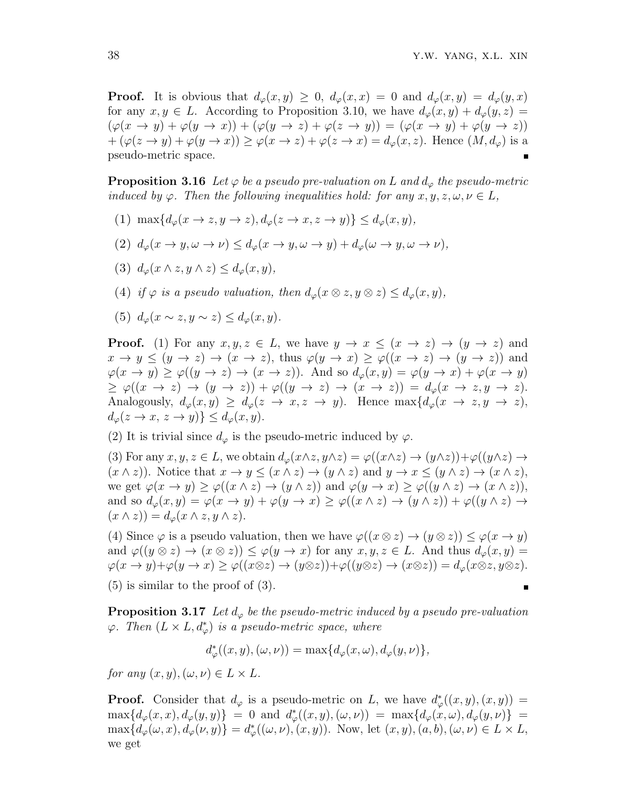**Proof.** It is obvious that  $d_{\varphi}(x, y) \geq 0$ ,  $d_{\varphi}(x, x) = 0$  and  $d_{\varphi}(x, y) = d_{\varphi}(y, x)$ for any  $x, y \in L$ . According to Proposition 3.10, we have  $d_{\varphi}(x, y) + d_{\varphi}(y, z) =$  $(\varphi(x \to y) + \varphi(y \to x)) + (\varphi(y \to z) + \varphi(z \to y)) = (\varphi(x \to y) + \varphi(y \to z))$  $+(\varphi(z\rightarrow y)+\varphi(y\rightarrow x))\geq \varphi(x\rightarrow z)+\varphi(z\rightarrow x)=d_{\varphi}(x,z)$ . Hence  $(M,d_{\varphi})$  is a pseudo-metric space.

**Proposition 3.16** *Let*  $\varphi$  *be a pseudo pre-valuation on L* and  $d_{\varphi}$  *the pseudo-metric induced by*  $\varphi$ *. Then the following inequalities hold: for any*  $x, y, z, \omega, \nu \in L$ ,

- $(1)$  max $\{d_e(x \to z, y \to z), d_e(z \to x, z \to y)\} \leq d_e(x, y)$ ,
- $(d_0)(2)$   $d_\varphi(x \to y, \omega \to \nu) \leq d_\varphi(x \to y, \omega \to y) + d_\varphi(\omega \to y, \omega \to \nu)$
- (3)  $d_{\varphi}(x \wedge z, y \wedge z) \leq d_{\varphi}(x, y)$ ,
- (4) *if*  $\varphi$  *is a pseudo valuation, then*  $d_{\varphi}(x \otimes z, y \otimes z) \leq d_{\varphi}(x, y)$ ,
- (5)  $d_{\varphi}(x \sim z, y \sim z) \leq d_{\varphi}(x, y)$ .

**Proof.** (1) For any  $x, y, z \in L$ , we have  $y \to x \leq (x \to z) \to (y \to z)$  and  $x \to y \le (y \to z) \to (x \to z)$ , thus  $\varphi(y \to x) \ge \varphi((x \to z) \to (y \to z))$  and  $\varphi(x \to y) \ge \varphi((y \to z) \to (x \to z))$ . And so  $d_{\varphi}(x, y) = \varphi(y \to x) + \varphi(x \to y)$  $\geq \varphi((x \to z) \to (y \to z)) + \varphi((y \to z) \to (x \to z)) = d_{\varphi}(x \to z, y \to z).$ Analogously,  $d_{\varphi}(x, y) \geq d_{\varphi}(z \to x, z \to y)$ . Hence max $\{d_{\varphi}(x \to z, y \to z),$  $d_{\varphi}(z \to x, z \to y) \} \leq d_{\varphi}(x, y).$ 

(2) It is trivial since  $d_{\varphi}$  is the pseudo-metric induced by  $\varphi$ .

(3) For any  $x, y, z \in L$ , we obtain  $d_{\varphi}(x \wedge z, y \wedge z) = \varphi((x \wedge z) \rightarrow (y \wedge z)) + \varphi((y \wedge z) \rightarrow$  $(x \wedge z)$ ). Notice that  $x \to y \leq (x \wedge z) \to (y \wedge z)$  and  $y \to x \leq (y \wedge z) \to (x \wedge z)$ , we get  $\varphi(x \to y) \geq \varphi((x \wedge z) \to (y \wedge z))$  and  $\varphi(y \to x) \geq \varphi((y \wedge z) \to (x \wedge z)),$ and so  $d_{\varphi}(x, y) = \varphi(x \to y) + \varphi(y \to x) \geq \varphi((x \land z) \to (y \land z)) + \varphi((y \land z) \to (y \land z))$  $(x \wedge z)$  =  $d_{\varphi}(x \wedge z, y \wedge z)$ .

(4) Since  $\varphi$  is a pseudo valuation, then we have  $\varphi((x \otimes z) \to (y \otimes z)) \leq \varphi(x \to y)$ and  $\varphi((y \otimes z) \to (x \otimes z)) \leq \varphi(y \to x)$  for any  $x, y, z \in L$ . And thus  $d_{\varphi}(x, y) =$  $\varphi(x \to y) + \varphi(y \to x) \ge \varphi((x \otimes z) \to (y \otimes z)) + \varphi((y \otimes z) \to (x \otimes z)) = d_{\varphi}(x \otimes z, y \otimes z).$ (5) is similar to the proof of (3).

**Proposition 3.17** Let  $d_{\varphi}$  be the pseudo-metric induced by a pseudo pre-valuation  $\varphi$ *. Then*  $(L \times L, d_{\varphi}^*)$  *is a pseudo-metric space, where* 

$$
d_{\varphi}^*((x, y), (\omega, \nu)) = \max\{d_{\varphi}(x, \omega), d_{\varphi}(y, \nu)\},\
$$

*for any*  $(x, y)$ *,*  $(\omega, \nu) \in L \times L$ *.* 

**Proof.** Consider that  $d_{\varphi}$  is a pseudo-metric on *L*, we have  $d_{\varphi}^*(x, y), (x, y)$  =  $\max\{d_{\varphi}(x,x), d_{\varphi}(y,y)\} = 0$  and  $d_{\varphi}^*((x,y), (\omega, \nu)) = \max\{d_{\varphi}(x,\omega), d_{\varphi}(y,\nu)\} =$  $\max\{d_{\varphi}(\omega, x), d_{\varphi}(\nu, y)\} = d_{\varphi}^{*}((\omega, \nu), (x, y)).$  Now, let  $(x, y), (a, b), (\omega, \nu) \in L \times L$ , we get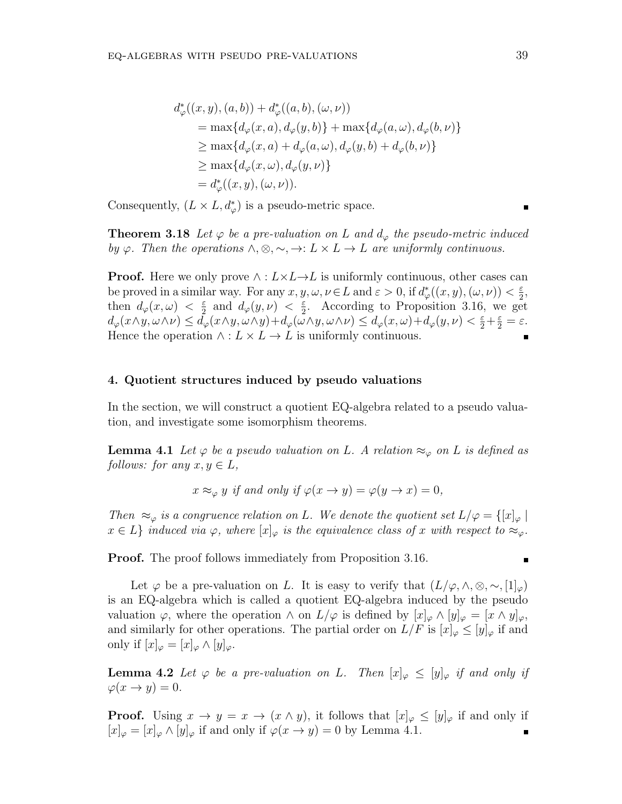$$
d_{\varphi}^{*}((x, y), (a, b)) + d_{\varphi}^{*}((a, b), (\omega, \nu))
$$
  
= max{ $d_{\varphi}(x, a), d_{\varphi}(y, b)$ } + max{ $d_{\varphi}(a, \omega), d_{\varphi}(b, \nu)$ }  
 $\geq$  max{ $d_{\varphi}(x, a) + d_{\varphi}(a, \omega), d_{\varphi}(y, b) + d_{\varphi}(b, \nu)$ }  
 $\geq$  max{ $d_{\varphi}(x, \omega), d_{\varphi}(y, \nu)$ }  
=  $d_{\varphi}^{*}((x, y), (\omega, \nu)).$ 

Consequently,  $(L \times L, d^*_{\varphi})$  is a pseudo-metric space.

**Theorem 3.18** Let  $\varphi$  be a pre-valuation on L and  $d_{\varphi}$  the pseudo-metric induced *by*  $\varphi$ *. Then the operations*  $\wedge$ ,  $\otimes$ ,  $\sim$ ,  $\rightarrow$ :  $L \times L \rightarrow L$  *are uniformly continuous.* 

**Proof.** Here we only prove  $\land$  :  $L \times L \rightarrow L$  is uniformly continuous, other cases can be proved in a similar way. For any  $x, y, \omega, \nu \in L$  and  $\varepsilon > 0$ , if  $d^*_{\varphi}((x, y), (\omega, \nu)) < \frac{\varepsilon}{2}$  $\frac{\varepsilon}{2}$ , then  $d_{\varphi}(x,\omega) < \frac{\varepsilon}{2}$  $\frac{\varepsilon}{2}$  and  $d_{\varphi}(y,\nu) < \frac{\varepsilon}{2}$  $\frac{\varepsilon}{2}$ . According to Proposition 3.16, we get  $d_{\varphi}(x\wedge y,\omega\wedge\nu)\leq d_{\varphi}^{\tilde{}}(x\wedge y,\omega\wedge y)+d_{\varphi}(\tilde{\omega}\wedge y,\omega\wedge\nu)\leq d_{\varphi}(x,\omega)+d_{\varphi}(y,\nu)<\frac{\varepsilon}{2}+\frac{\varepsilon}{2}=\varepsilon.$ Hence the operation  $\wedge$  :  $L \times L \rightarrow L$  is uniformly continuous.

### **4. Quotient structures induced by pseudo valuations**

In the section, we will construct a quotient EQ-algebra related to a pseudo valuation, and investigate some isomorphism theorems.

**Lemma 4.1** *Let*  $\varphi$  *be a pseudo valuation on L. A relation*  $\approx_{\varphi}$  *on L is defined as follows: for any*  $x, y \in L$ *,* 

$$
x \approx_{\varphi} y
$$
 if and only if  $\varphi(x \to y) = \varphi(y \to x) = 0$ ,

*Then*  $\approx_{\varphi}$  *is a congruence relation on L.* We denote the quotient set  $L/\varphi = \{[x]_{\varphi} \mid$  $x \in L$ *} induced via*  $\varphi$ *, where*  $[x]_{\varphi}$  *is the equivalence class of x with respect to*  $\approx_{\varphi}$ *.* 

**Proof.** The proof follows immediately from Proposition 3.16.

Let  $\varphi$  be a pre-valuation on *L*. It is easy to verify that  $(L/\varphi, \wedge, \otimes, \sim, [1]_{\varphi})$ is an EQ-algebra which is called a quotient EQ-algebra induced by the pseudo valuation  $\varphi$ , where the operation  $\wedge$  on  $L/\varphi$  is defined by  $[x]_{\varphi} \wedge [y]_{\varphi} = [x \wedge y]_{\varphi}$ , and similarly for other operations. The partial order on  $L/F$  is  $[x]_{\varphi} \leq [y]_{\varphi}$  if and only if  $[x]_{\varphi} = [x]_{\varphi} \wedge [y]_{\varphi}$ .

**Lemma 4.2** *Let*  $\varphi$  *be a pre-valuation on L. Then*  $[x]_{\varphi} \leq [y]_{\varphi}$  *if and only if*  $\varphi(x \to y) = 0.$ 

**Proof.** Using  $x \to y = x \to (x \wedge y)$ , it follows that  $[x]_{\varphi} \leq [y]_{\varphi}$  if and only if  $[x]_{\varphi} = [x]_{\varphi} \wedge [y]_{\varphi}$  if and only if  $\varphi(x \to y) = 0$  by Lemma 4.1.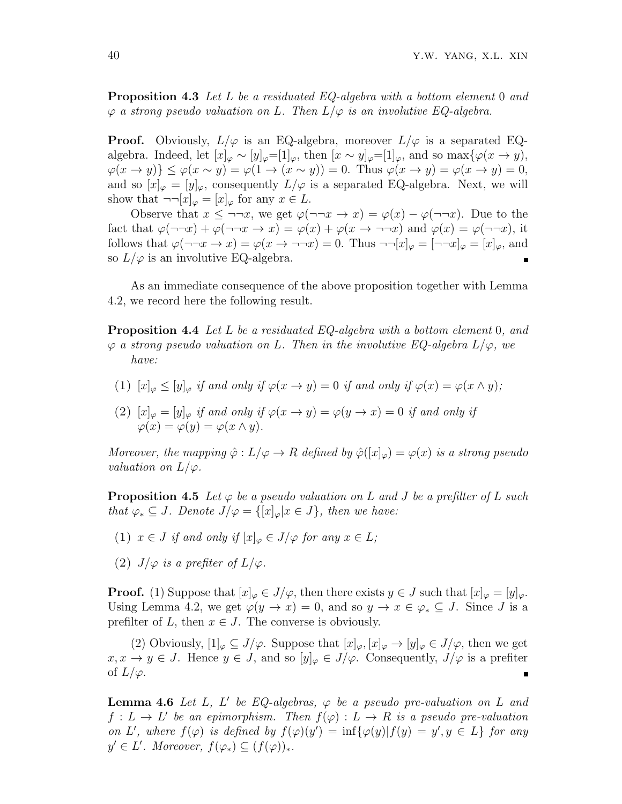**Proposition 4.3** *Let L be a residuated EQ-algebra with a bottom element* 0 *and φ a strong pseudo valuation on L. Then L/φ is an involutive EQ-algebra.*

**Proof.** Obviously,  $L/\varphi$  is an EQ-algebra, moreover  $L/\varphi$  is a separated EQalgebra. Indeed, let  $[x]_{\varphi} \sim [y]_{\varphi} = [1]_{\varphi}$ , then  $[x \sim y]_{\varphi} = [1]_{\varphi}$ , and so max $\{\varphi(x \to y),\}$  $\varphi(x \to y)$ }  $\leq \varphi(x \sim y) = \varphi(1 \to (x \sim y)) = 0$ . Thus  $\varphi(x \to y) = \varphi(x \to y) = 0$ , and so  $[x]_{\varphi} = [y]_{\varphi}$ , consequently  $L/\varphi$  is a separated EQ-algebra. Next, we will show that  $\neg\neg[x]_{\varphi} = [x]_{\varphi}$  for any  $x \in L$ .

Observe that  $x \leq \neg \neg x$ , we get  $\varphi(\neg \neg x \to x) = \varphi(x) - \varphi(\neg \neg x)$ . Due to the fact that  $\varphi(\neg\neg x) + \varphi(\neg\neg x \to x) = \varphi(x) + \varphi(x \to \neg\neg x)$  and  $\varphi(x) = \varphi(\neg\neg x)$ , it follows that  $\varphi(\neg\neg x \to x) = \varphi(x \to \neg\neg x) = 0$ . Thus  $\neg\neg[x]_{\varphi} = [\neg\neg x]_{\varphi} = [x]_{\varphi}$ , and so  $L/\varphi$  is an involutive EQ-algebra.

As an immediate consequence of the above proposition together with Lemma 4.2, we record here the following result.

**Proposition 4.4** *Let L be a residuated EQ-algebra with a bottom element* 0*, and φ a strong pseudo valuation on L. Then in the involutive EQ-algebra L/φ, we have:*

- (1)  $[x]_{\varphi} \leq [y]_{\varphi}$  *if and only if*  $\varphi(x \to y) = 0$  *if and only if*  $\varphi(x) = \varphi(x \land y)$ ;
- (2)  $[x]_{\varphi} = [y]_{\varphi}$  *if and only if*  $\varphi(x \to y) = \varphi(y \to x) = 0$  *if and only if*  $\varphi(x) = \varphi(y) = \varphi(x \wedge y).$

*Moreover, the mapping*  $\hat{\varphi}: L/\varphi \to R$  *defined by*  $\hat{\varphi}([x]_{\varphi}) = \varphi(x)$  *is a strong pseudo valuation on*  $L/\varphi$ *.* 

**Proposition 4.5** Let  $\varphi$  be a pseudo valuation on L and J be a prefilter of L such *that*  $\varphi_* \subseteq J$ *. Denote*  $J/\varphi = \{ [x]_{\varphi} | x \in J \}$ *, then we have:* 

- (1)  $x \in J$  *if and only if*  $[x]_{\varphi} \in J/\varphi$  *for any*  $x \in L$ *;*
- (2)  $J/\varphi$  *is a prefiter of*  $L/\varphi$ *.*

**Proof.** (1) Suppose that  $[x]_{\varphi} \in J/\varphi$ , then there exists  $y \in J$  such that  $[x]_{\varphi} = [y]_{\varphi}$ . Using Lemma 4.2, we get  $\varphi(y \to x) = 0$ , and so  $y \to x \in \varphi_* \subseteq J$ . Since *J* is a prefilter of  $L$ , then  $x \in J$ . The converse is obviously.

(2) Obviously,  $[1]_{\varphi} \subseteq J/\varphi$ . Suppose that  $[x]_{\varphi}, [x]_{\varphi} \to [y]_{\varphi} \in J/\varphi$ , then we get  $x, x \to y \in J$ . Hence  $y \in J$ , and so  $[y]_{\varphi} \in J/\varphi$ . Consequently,  $J/\varphi$  is a prefiter of  $L/\varphi$ .

**Lemma 4.6** *Let L, L ′ be EQ-algebras, φ be a pseudo pre-valuation on L and*  $f: L \to L'$  be an epimorphism. Then  $f(\varphi): L \to R$  is a pseudo pre-valuation on L', where  $f(\varphi)$  is defined by  $f(\varphi)(y') = \inf{\{\varphi(y)|f(y) = y', y \in L\}}$  for any  $y' \in L'$ . Moreover,  $f(\varphi_*) \subseteq (f(\varphi))_*$ .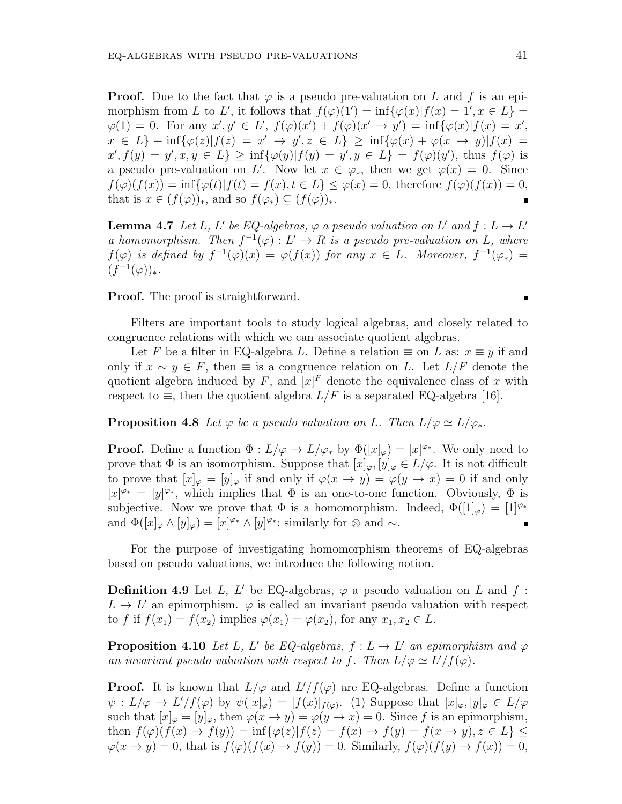**Proof.** Due to the fact that  $\varphi$  is a pseudo pre-valuation on L and f is an epimorphism from *L* to *L'*, it follows that  $f(\varphi)(1') = \inf{\varphi(x)|f(x) = 1', x \in L}$  $\varphi(1) = 0$ . For any  $x', y' \in L'$ ,  $f(\varphi)(x') + f(\varphi)(x' \to y') = \inf{\varphi(x)|f(x) = x'}$ ,  $x \in L$  + inf{ $\varphi(z) | f(z) = x' \to y', z \in L$ }  $\geq \inf{\varphi(x) + \varphi(x \to y)| f(x) =$  $x', f(y) = y', x, y \in L$   $\geq \inf{\{\varphi(y)|f(y) = y', y \in L\}} = f(\varphi)(y')$ , thus  $f(\varphi)$  is a pseudo pre-valuation on *L'*. Now let  $x \in \varphi_*$ , then we get  $\varphi(x) = 0$ . Since  $f(\varphi)(f(x)) = \inf{\varphi(t)|f(t) = f(x), t \in L} \leq \varphi(x) = 0$ , therefore  $f(\varphi)(f(x)) = 0$ , that is  $x \in (f(\varphi))_*$ , and so  $f(\varphi_*) \subseteq (f(\varphi))_*$ . Ė

**Lemma 4.7** *Let L*, *L' be EQ-algebras,*  $\varphi$  *a pseudo valuation on L'* and  $f: L \to L'$ *a* homomorphism. Then  $f^{-1}(\varphi) : L' \to R$  is a pseudo pre-valuation on L, where  $f(\varphi)$  *is defined by*  $f^{-1}(\varphi)(x) = \varphi(f(x))$  *for any*  $x \in L$ *. Moreover,*  $f^{-1}(\varphi_*) =$  $(f^{-1}(\varphi))_*$ .

**Proof.** The proof is straightforward.

Filters are important tools to study logical algebras, and closely related to congruence relations with which we can associate quotient algebras.

Let *F* be a filter in EQ-algebra *L*. Define a relation  $\equiv$  on *L* as:  $x \equiv y$  if and only if  $x \sim y \in F$ , then  $\equiv$  is a congruence relation on *L*. Let  $L/F$  denote the quotient algebra induced by  $F$ , and  $[x]^{F}$  denote the equivalence class of  $x$  with respect to  $\equiv$ , then the quotient algebra *L/F* is a separated EQ-algebra [16].

**Proposition 4.8** *Let*  $\varphi$  *be a pseudo valuation on L. Then*  $L/\varphi \simeq L/\varphi_*$ *.* 

**Proof.** Define a function  $\Phi: L/\varphi \to L/\varphi_*$  by  $\Phi([x]_{\varphi}) = [x]^{\varphi_*}$ . We only need to prove that  $\Phi$  is an isomorphism. Suppose that  $[x]_{\varphi}, [y]_{\varphi} \in L/\varphi$ . It is not difficult to prove that  $[x]_{\varphi} = [y]_{\varphi}$  if and only if  $\varphi(x \to y) = \varphi(y \to x) = 0$  if and only  $[x]$ <sup> $\varphi$ </sup><sup>\*</sup> = [y]<sup> $\varphi$ </sup><sup>\*</sup>, which implies that  $\Phi$  is an one-to-one function. Obviously,  $\Phi$  is subjective. Now we prove that  $\Phi$  is a homomorphism. Indeed,  $\Phi([1]_{\varphi}) = [1]^{\varphi_*}$ and  $\Phi([x]_{\varphi} \wedge [y]_{\varphi}) = [x]^{\varphi_*} \wedge [y]^{\varphi_*}$ ; similarly for  $\otimes$  and  $\sim$ .

For the purpose of investigating homomorphism theorems of EQ-algebras based on pseudo valuations, we introduce the following notion.

**Definition 4.9** Let *L*, *L'* be EQ-algebras,  $\varphi$  a pseudo valuation on *L* and *f* :  $L \rightarrow L'$  an epimorphism.  $\varphi$  is called an invariant pseudo valuation with respect to *f* if  $f(x_1) = f(x_2)$  implies  $\varphi(x_1) = \varphi(x_2)$ , for any  $x_1, x_2 \in L$ .

**Proposition 4.10** *Let L*, *L' be EQ-algebras,*  $f: L \to L'$  *an epimorphism and*  $\varphi$ *an invariant pseudo valuation with respect to f. Then*  $L/\varphi \simeq L'/f(\varphi)$ .

**Proof.** It is known that  $L/\varphi$  and  $L'/f(\varphi)$  are EQ-algebras. Define a function  $\psi: L/\varphi \to L'/f(\varphi)$  by  $\psi([x]_{\varphi}) = [f(x)]_{f(\varphi)}$ . (1) Suppose that  $[x]_{\varphi}, [y]_{\varphi} \in L/\varphi$ such that  $[x]_{\varphi} = [y]_{\varphi}$ , then  $\varphi(x \to y) = \varphi(y \to x) = 0$ . Since f is an epimorphism, then  $f(\varphi)(f(x) \to f(y)) = \inf{\varphi(z)|f(z) = f(x) \to f(y) = f(x \to y), z \in L}$  $\varphi(x \to y) = 0$ , that is  $f(\varphi)(f(x) \to f(y)) = 0$ . Similarly,  $f(\varphi)(f(y) \to f(x)) = 0$ ,

Ė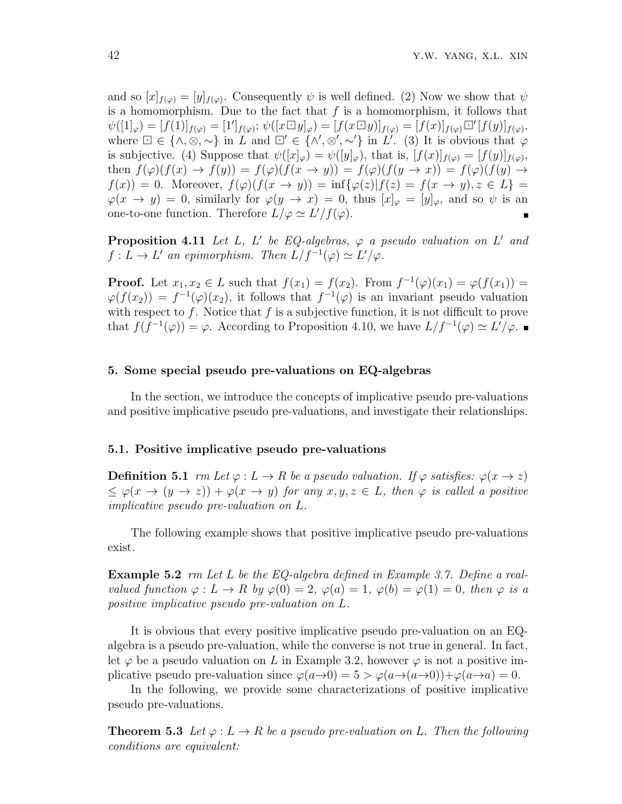and so  $[x]_{f(\varphi)} = [y]_{f(\varphi)}$ . Consequently  $\psi$  is well defined. (2) Now we show that  $\psi$ is a homomorphism. Due to the fact that *f* is a homomorphism, it follows that  $\psi([1]_{\varphi}) = [f(1)]_{f(\varphi)} = [1']_{f(\varphi)}; \, \psi([x \Box y]_{\varphi}) = [f(x \Box y)]_{f(\varphi)} = [f(x)]_{f(\varphi)} \Box' [f(y)]_{f(\varphi)},$ where  $\Box \in \{\land, \otimes, \sim\}$  in *L* and  $\Box' \in \{\land', \otimes', \sim'\}$  in *L'*. (3) It is obvious that  $\varphi$ is subjective. (4) Suppose that  $\psi([x]_{\varphi}) = \psi([y]_{\varphi})$ , that is,  $[f(x)]_{f(\varphi)} = [f(y)]_{f(\varphi)}$ , then  $f(\varphi)(f(x) \to f(y)) = f(\varphi)(f(x \to y)) = f(\varphi)(f(y \to x)) = f(\varphi)(f(y) \to y)$  $f(x) = 0$ . Moreover,  $f(\varphi)(f(x \to y)) = \inf{\varphi(z)|f(z) = f(x \to y), z \in L}$  $\varphi(x \to y) = 0$ , similarly for  $\varphi(y \to x) = 0$ , thus  $[x]_{\varphi} = [y]_{\varphi}$ , and so  $\psi$  is an one-to-one function. Therefore  $L/\varphi \simeq L'/f(\varphi)$ .

**Proposition 4.11** *Let L*, *L' be EQ-algebras*,  $\varphi$  *a pseudo valuation on L' and*  $f: L \to L'$  *an epimorphism. Then*  $L/f^{-1}(\varphi) \simeq L'/\varphi$ .

**Proof.** Let  $x_1, x_2 \in L$  such that  $f(x_1) = f(x_2)$ . From  $f^{-1}(\varphi)(x_1) = \varphi(f(x_1)) =$  $\varphi(f(x_2)) = f^{-1}(\varphi)(x_2)$ , it follows that  $f^{-1}(\varphi)$  is an invariant pseudo valuation with respect to *f*. Notice that *f* is a subjective function, it is not difficult to prove that  $f(f^{-1}(\varphi)) = \varphi$ . According to Proposition 4.10, we have  $L/f^{-1}(\varphi) \simeq L'/\varphi$ .

### **5. Some special pseudo pre-valuations on EQ-algebras**

In the section, we introduce the concepts of implicative pseudo pre-valuations and positive implicative pseudo pre-valuations, and investigate their relationships.

#### **5.1. Positive implicative pseudo pre-valuations**

**Definition 5.1** *rm Let*  $\varphi: L \to R$  *be a pseudo valuation. If*  $\varphi$  *satisfies:*  $\varphi(x \to z)$  $\leq \varphi(x \to (y \to z)) + \varphi(x \to y)$  *for any*  $x, y, z \in L$ *, then*  $\varphi$  *is called a positive implicative pseudo pre-valuation on L.*

The following example shows that positive implicative pseudo pre-valuations exist.

**Example 5.2** *rm Let L be the EQ-algebra defined in Example 3.7. Define a realvalued function*  $\varphi: L \to R$  *by*  $\varphi(0) = 2$ ,  $\varphi(a) = 1$ ,  $\varphi(b) = \varphi(1) = 0$ , then  $\varphi$  *is a positive implicative pseudo pre-valuation on L.*

It is obvious that every positive implicative pseudo pre-valuation on an EQalgebra is a pseudo pre-valuation, while the converse is not true in general. In fact, let  $\varphi$  be a pseudo valuation on *L* in Example 3.2, however  $\varphi$  is not a positive implicative pseudo pre-valuation since  $\varphi(a\rightarrow 0) = 5 > \varphi(a\rightarrow (a\rightarrow 0)) + \varphi(a\rightarrow a) = 0$ .

In the following, we provide some characterizations of positive implicative pseudo pre-valuations.

**Theorem 5.3** Let  $\varphi: L \to R$  be a pseudo pre-valuation on L. Then the following *conditions are equivalent:*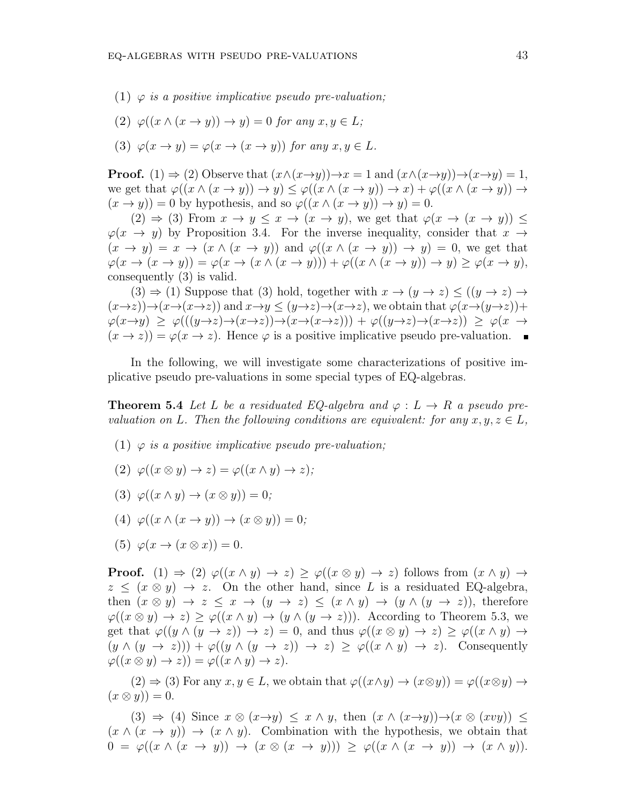- (1) *φ is a positive implicative pseudo pre-valuation;*
- $(2) \varphi((x \wedge (x \rightarrow y)) \rightarrow y) = 0$  *for any*  $x, y \in L$ ;
- (3)  $\varphi(x \to y) = \varphi(x \to (x \to y))$  for any  $x, y \in L$ .

**Proof.** (1)  $\Rightarrow$  (2) Observe that  $(x \land (x \rightarrow y)) \rightarrow x = 1$  and  $(x \land (x \rightarrow y)) \rightarrow (x \rightarrow y) = 1$ , we get that  $\varphi((x \wedge (x \to y)) \to y) \leq \varphi((x \wedge (x \to y)) \to x) + \varphi((x \wedge (x \to y)) \to x)$  $(x \rightarrow y) = 0$  by hypothesis, and so  $\varphi((x \land (x \rightarrow y)) \rightarrow y) = 0$ .

 $(2) \Rightarrow (3)$  From  $x \to y \leq x \to (x \to y)$ , we get that  $\varphi(x \to (x \to y)) \leq$  $\varphi(x \to y)$  by Proposition 3.4. For the inverse inequality, consider that  $x \to$  $(x \rightarrow y) = x \rightarrow (x \land (x \rightarrow y))$  and  $\varphi((x \land (x \rightarrow y)) \rightarrow y) = 0$ , we get that  $\varphi(x \to (x \to y)) = \varphi(x \to (x \land (x \to y))) + \varphi((x \land (x \to y)) \to y) > \varphi(x \to y),$ consequently (3) is valid.

 $(3) \Rightarrow (1)$  Suppose that (3) hold, together with  $x \rightarrow (y \rightarrow z) \le ((y \rightarrow z) \rightarrow$  $(x\rightarrow z)\rightarrow(x\rightarrow(x\rightarrow z))$  and  $x\rightarrow y\leq(y\rightarrow z)\rightarrow(x\rightarrow z)$ , we obtain that  $\varphi(x\rightarrow(y\rightarrow z))$ +  $\varphi(x \to y) \geq \varphi(((y \to z) \to (x \to z)) \to (x \to (x \to z))) + \varphi((y \to z) \to (x \to z)) \geq \varphi(x \to z)$  $(x \to z)$ ) =  $\varphi(x \to z)$ . Hence  $\varphi$  is a positive implicative pseudo pre-valuation.

In the following, we will investigate some characterizations of positive implicative pseudo pre-valuations in some special types of EQ-algebras.

**Theorem 5.4** *Let L be a residuated EQ-algebra and*  $\varphi: L \to R$  *a pseudo prevaluation on L*. Then the following conditions are equivalent: for any  $x, y, z \in L$ ,

- (1) *φ is a positive implicative pseudo pre-valuation;*
- $(2) \varphi((x \otimes y) \rightarrow z) = \varphi((x \wedge y) \rightarrow z);$
- $(3) \varphi((x \wedge y) \rightarrow (x \otimes y)) = 0;$
- $(4) \varphi((x \wedge (x \rightarrow y)) \rightarrow (x \otimes y)) = 0;$
- (5)  $\varphi(x \to (x \otimes x)) = 0.$

**Proof.** (1)  $\Rightarrow$  (2)  $\varphi((x \wedge y) \rightarrow z) \geq \varphi((x \otimes y) \rightarrow z)$  follows from  $(x \wedge y) \rightarrow z$  $z \leq (x \otimes y) \rightarrow z$ . On the other hand, since L is a residuated EQ-algebra, then  $(x \otimes y) \rightarrow z \leq x \rightarrow (y \rightarrow z) \leq (x \wedge y) \rightarrow (y \wedge (y \rightarrow z))$ , therefore  $\varphi((x \otimes y) \rightarrow z) \geq \varphi((x \wedge y) \rightarrow (y \wedge (y \rightarrow z)))$ . According to Theorem 5.3, we get that  $\varphi((y \wedge (y \rightarrow z)) \rightarrow z) = 0$ , and thus  $\varphi((x \otimes y) \rightarrow z) \geq \varphi((x \wedge y) \rightarrow z)$  $(y \wedge (y \rightarrow z))$  +  $\varphi((y \wedge (y \rightarrow z)) \rightarrow z) \geq \varphi((x \wedge y) \rightarrow z)$ . Consequently  $\varphi((x \otimes y) \rightarrow z)) = \varphi((x \wedge y) \rightarrow z).$ 

 $(2) \Rightarrow (3)$  For any  $x, y \in L$ , we obtain that  $\varphi((x \wedge y) \rightarrow (x \otimes y)) = \varphi((x \otimes y) \rightarrow$  $(x \otimes y) = 0.$ 

 $(3) \Rightarrow (4)$  Since  $x \otimes (x \rightarrow y) \leq x \wedge y$ , then  $(x \wedge (x \rightarrow y)) \rightarrow (x \otimes (x \vee y)) \leq y$  $(x \wedge (x \rightarrow y)) \rightarrow (x \wedge y)$ . Combination with the hypothesis, we obtain that  $0 = \varphi((x \wedge (x \rightarrow y)) \rightarrow (x \otimes (x \rightarrow y))) \geq \varphi((x \wedge (x \rightarrow y)) \rightarrow (x \wedge y)).$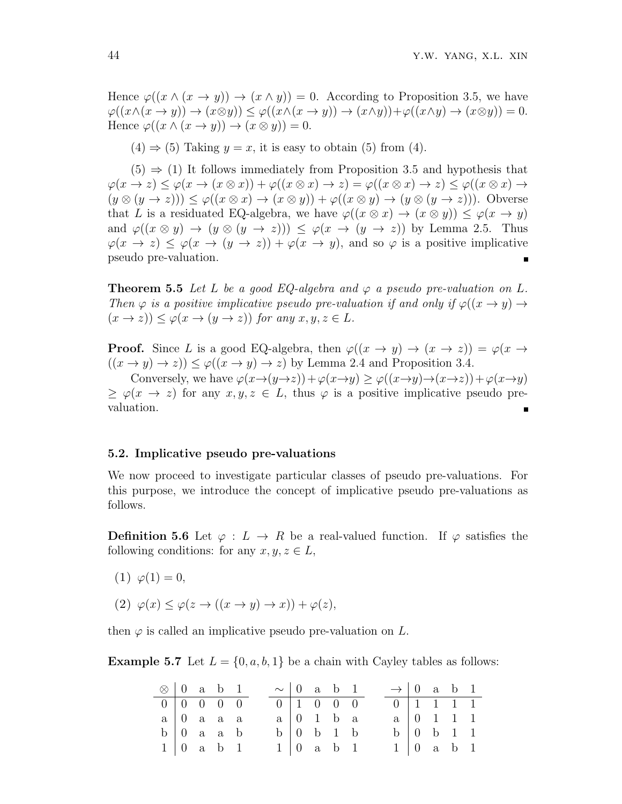Hence  $\varphi((x \wedge (x \rightarrow y)) \rightarrow (x \wedge y)) = 0$ . According to Proposition 3.5, we have  $\varphi((x \wedge (x \to y)) \to (x \otimes y)) \leq \varphi((x \wedge (x \to y)) \to (x \wedge y)) + \varphi((x \wedge y) \to (x \otimes y)) = 0.$ Hence  $\varphi((x \wedge (x \rightarrow y)) \rightarrow (x \otimes y)) = 0.$ 

 $(4) \Rightarrow (5)$  Taking  $y = x$ , it is easy to obtain (5) from (4).

 $(5) \Rightarrow (1)$  It follows immediately from Proposition 3.5 and hypothesis that  $\varphi(x \to z) \leq \varphi(x \to (x \otimes x)) + \varphi((x \otimes x) \to z) = \varphi((x \otimes x) \to z) \leq \varphi((x \otimes x) \to z)$  $(y \otimes (y \to z))) \leq \varphi((x \otimes x) \to (x \otimes y)) + \varphi((x \otimes y) \to (y \otimes (y \to z))).$  Obverse that *L* is a residuated EQ-algebra, we have  $\varphi((x \otimes x) \to (x \otimes y)) \leq \varphi(x \to y)$ and  $\varphi((x \otimes y) \rightarrow (y \otimes (y \rightarrow z))) \leq \varphi(x \rightarrow (y \rightarrow z))$  by Lemma 2.5. Thus  $\varphi(x \to z) \leq \varphi(x \to (y \to z)) + \varphi(x \to y)$ , and so  $\varphi$  is a positive implicative pseudo pre-valuation.

**Theorem 5.5** Let L be a good EQ-algebra and  $\varphi$  a pseudo pre-valuation on L. *Then*  $\varphi$  *is a positive implicative pseudo pre-valuation if and only if*  $\varphi((x \to y) \to$  $(x \to z)$ )  $\leq \varphi(x \to (y \to z))$  *for any*  $x, y, z \in L$ *.* 

**Proof.** Since *L* is a good EQ-algebra, then  $\varphi((x \to y) \to (x \to z)) = \varphi(x \to z)$  $((x \rightarrow y) \rightarrow z)) \leq \varphi((x \rightarrow y) \rightarrow z)$  by Lemma 2.4 and Proposition 3.4.

Conversely, we have  $\varphi(x \to (y \to z)) + \varphi(x \to y) \geq \varphi((x \to y) \to (x \to z)) + \varphi(x \to y)$  $\varphi(x \to z)$  for any  $x, y, z \in L$ , thus  $\varphi$  is a positive implicative pseudo prevaluation.

#### **5.2. Implicative pseudo pre-valuations**

We now proceed to investigate particular classes of pseudo pre-valuations. For this purpose, we introduce the concept of implicative pseudo pre-valuations as follows.

**Definition 5.6** Let  $\varphi : L \to R$  be a real-valued function. If  $\varphi$  satisfies the following conditions: for any  $x, y, z \in L$ ,

- (1)  $\varphi(1) = 0$ ,
- $(2)$   $\varphi(x) \leq \varphi(z \to ((x \to y) \to x)) + \varphi(z),$

then  $\varphi$  is called an implicative pseudo pre-valuation on  $L$ .

**Example 5.7** Let  $L = \{0, a, b, 1\}$  be a chain with Cayley tables as follows:

| $\otimes$   0 a b 1 |  |                                    |  | $\sim$   0 a b 1 |                                    |  | $\rightarrow$ 0 a b 1 |                                    |  |
|---------------------|--|------------------------------------|--|------------------|------------------------------------|--|-----------------------|------------------------------------|--|
|                     |  | $0 \mid 0 \quad 0 \quad 0 \quad 0$ |  |                  | $0 \mid 1 \quad 0 \quad 0 \quad 0$ |  |                       | $0 \mid 1 \quad 1 \quad 1 \quad 1$ |  |
|                     |  | $a \mid 0$ a a a                   |  |                  | $a \mid 0 \quad 1 \quad b \quad a$ |  |                       | $a \mid 0 \quad 1 \quad 1 \quad 1$ |  |
|                     |  | $b \mid 0$ a a b                   |  |                  | $b \mid 0 \quad b \quad 1 \quad b$ |  |                       | $b \mid 0 \quad b \quad 1 \quad 1$ |  |
|                     |  | $1 \vert 0$ a b 1                  |  |                  | $1 \mid 0$ a b 1                   |  |                       | $1 \vert 0$ a b 1                  |  |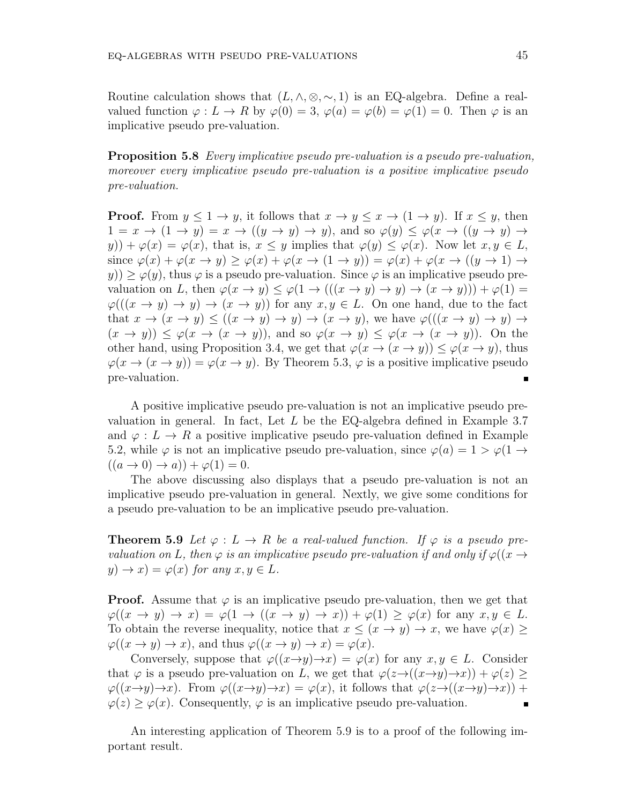Routine calculation shows that  $(L, \wedge, \otimes, \sim, 1)$  is an EQ-algebra. Define a realvalued function  $\varphi: L \to R$  by  $\varphi(0) = 3$ ,  $\varphi(a) = \varphi(b) = \varphi(1) = 0$ . Then  $\varphi$  is an implicative pseudo pre-valuation.

**Proposition 5.8** *Every implicative pseudo pre-valuation is a pseudo pre-valuation, moreover every implicative pseudo pre-valuation is a positive implicative pseudo pre-valuation.*

**Proof.** From  $y \leq 1 \rightarrow y$ , it follows that  $x \rightarrow y \leq x \rightarrow (1 \rightarrow y)$ . If  $x \leq y$ , then  $1 = x \rightarrow (1 \rightarrow y) = x \rightarrow ((y \rightarrow y) \rightarrow y)$ , and so  $\varphi(y) \leq \varphi(x \rightarrow ((y \rightarrow y) \rightarrow y))$  $(y)$ ) +  $\varphi(x) = \varphi(x)$ , that is,  $x \leq y$  implies that  $\varphi(y) \leq \varphi(x)$ . Now let  $x, y \in L$ , since  $\varphi(x) + \varphi(x \to y) \geq \varphi(x) + \varphi(x \to (1 \to y)) = \varphi(x) + \varphi(x \to ((y \to 1) \to$  $y$ ))  $\geq \varphi(y)$ , thus  $\varphi$  is a pseudo pre-valuation. Since  $\varphi$  is an implicative pseudo prevaluation on *L*, then  $\varphi(x \to y) \leq \varphi(1 \to (((x \to y) \to y) \to (x \to y))) + \varphi(1) =$  $\varphi((x \to y) \to y) \to (x \to y)$  for any  $x, y \in L$ . On one hand, due to the fact that  $x \to (x \to y) \le ((x \to y) \to y) \to (x \to y)$ , we have  $\varphi(((x \to y) \to y) \to y)$  $(x \rightarrow y) \leq \varphi(x \rightarrow (x \rightarrow y))$ , and so  $\varphi(x \rightarrow y) \leq \varphi(x \rightarrow (x \rightarrow y))$ . On the other hand, using Proposition 3.4, we get that  $\varphi(x \to (x \to y)) \leq \varphi(x \to y)$ , thus  $\varphi(x \to (x \to y)) = \varphi(x \to y)$ . By Theorem 5.3,  $\varphi$  is a positive implicative pseudo pre-valuation.

A positive implicative pseudo pre-valuation is not an implicative pseudo prevaluation in general. In fact, Let *L* be the EQ-algebra defined in Example 3.7 and  $\varphi: L \to R$  a positive implicative pseudo pre-valuation defined in Example 5.2, while  $\varphi$  is not an implicative pseudo pre-valuation, since  $\varphi(a) = 1 > \varphi(1 \rightarrow$  $((a \rightarrow 0) \rightarrow a)) + \varphi(1) = 0.$ 

The above discussing also displays that a pseudo pre-valuation is not an implicative pseudo pre-valuation in general. Nextly, we give some conditions for a pseudo pre-valuation to be an implicative pseudo pre-valuation.

**Theorem 5.9** *Let*  $\varphi: L \to R$  *be a real-valued function. If*  $\varphi$  *is a pseudo prevaluation on L*, then  $\varphi$  *is an implicative pseudo pre-valuation if and only if*  $\varphi((x \rightarrow$  $y) \rightarrow x$  =  $\varphi(x)$  *for any*  $x, y \in L$ *.* 

**Proof.** Assume that  $\varphi$  is an implicative pseudo pre-valuation, then we get that  $\varphi((x \to y) \to x) = \varphi(1 \to ((x \to y) \to x)) + \varphi(1) \geq \varphi(x)$  for any  $x, y \in L$ . To obtain the reverse inequality, notice that  $x \leq (x \rightarrow y) \rightarrow x$ , we have  $\varphi(x)$  $\varphi((x \to y) \to x)$ , and thus  $\varphi((x \to y) \to x) = \varphi(x)$ .

Conversely, suppose that  $\varphi((x \to y) \to x) = \varphi(x)$  for any  $x, y \in L$ . Consider that  $\varphi$  is a pseudo pre-valuation on *L*, we get that  $\varphi(z \to ((x \to y) \to x)) + \varphi(z) \ge$  $\varphi((x \to y) \to x)$ . From  $\varphi((x \to y) \to x) = \varphi(x)$ , it follows that  $\varphi(z \to ((x \to y) \to x))$  +  $\varphi(z) \geq \varphi(x)$ . Consequently,  $\varphi$  is an implicative pseudo pre-valuation.  $\blacksquare$ 

An interesting application of Theorem 5.9 is to a proof of the following important result.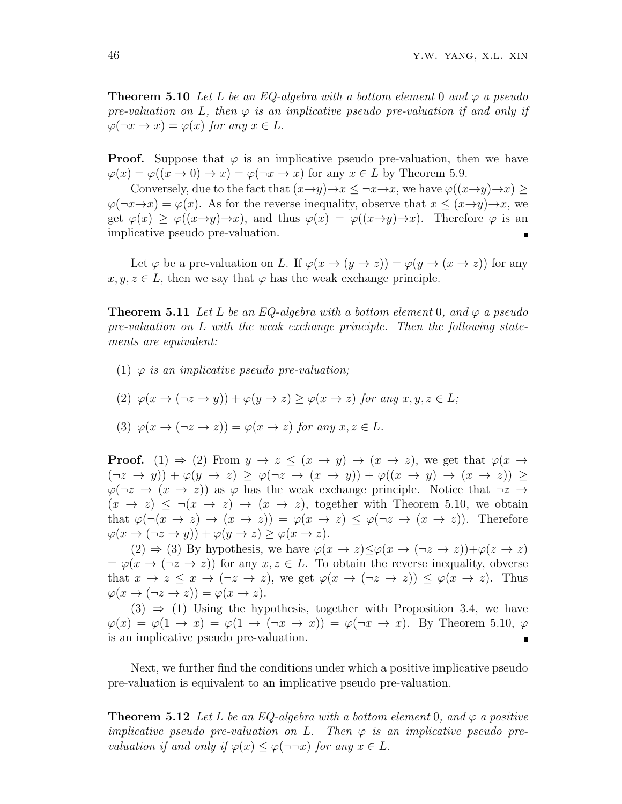**Theorem 5.10** *Let L be an EQ-algebra with a bottom element* 0 *and φ a pseudo pre-valuation on L, then*  $\varphi$  *is an implicative pseudo pre-valuation if and only if*  $\varphi(\neg x \to x) = \varphi(x)$  *for any*  $x \in L$ *.* 

**Proof.** Suppose that  $\varphi$  is an implicative pseudo pre-valuation, then we have  $\varphi(x) = \varphi((x \to 0) \to x) = \varphi(\neg x \to x)$  for any  $x \in L$  by Theorem 5.9.

Conversely, due to the fact that  $(x \rightarrow y) \rightarrow x \leq \neg x \rightarrow x$ , we have  $\varphi((x \rightarrow y) \rightarrow x) \geq$  $\varphi(\neg x \rightarrow x) = \varphi(x)$ . As for the reverse inequality, observe that  $x \leq (x \rightarrow y) \rightarrow x$ , we get  $\varphi(x) > \varphi((x \to y) \to x)$ , and thus  $\varphi(x) = \varphi((x \to y) \to x)$ . Therefore  $\varphi$  is an implicative pseudo pre-valuation.

Let  $\varphi$  be a pre-valuation on *L*. If  $\varphi(x \to (y \to z)) = \varphi(y \to (x \to z))$  for any  $x, y, z \in L$ , then we say that  $\varphi$  has the weak exchange principle.

**Theorem 5.11** *Let L be an EQ-algebra with a bottom element* 0*, and φ a pseudo pre-valuation on L with the weak exchange principle. Then the following statements are equivalent:*

- (1) *φ is an implicative pseudo pre-valuation;*
- $(\alpha)(2) \varphi(x \to (\neg z \to y)) + \varphi(y \to z) > \varphi(x \to z)$  for any  $x, y, z \in L$ ;

(3) 
$$
\varphi(x \to (\neg z \to z)) = \varphi(x \to z)
$$
 for any  $x, z \in L$ .

**Proof.** (1)  $\Rightarrow$  (2) From  $y \rightarrow z \leq (x \rightarrow y) \rightarrow (x \rightarrow z)$ , we get that  $\varphi(x \rightarrow z)$  $(\neg z \rightarrow y)) + \varphi(y \rightarrow z) \geq \varphi(\neg z \rightarrow (x \rightarrow y)) + \varphi((x \rightarrow y) \rightarrow (x \rightarrow z)) \geq$  $\varphi(\neg z \rightarrow (x \rightarrow z))$  as  $\varphi$  has the weak exchange principle. Notice that  $\neg z \rightarrow$  $(x \to z) \leq \neg(x \to z) \to (x \to z)$ , together with Theorem 5.10, we obtain that  $\varphi(\neg(x \to z) \to (x \to z)) = \varphi(x \to z) \leq \varphi(\neg z \to (x \to z))$ . Therefore  $\varphi(x \to (\neg z \to y)) + \varphi(y \to z) \geq \varphi(x \to z).$ 

 $(2) \Rightarrow (3)$  By hypothesis, we have  $\varphi(x \to z) \leq \varphi(x \to (\neg z \to z)) + \varphi(z \to z)$  $=\varphi(x \to (\neg z \to z))$  for any  $x, z \in L$ . To obtain the reverse inequality, obverse that  $x \to z \leq x \to (\neg z \to z)$ , we get  $\varphi(x \to (\neg z \to z)) \leq \varphi(x \to z)$ . Thus  $\varphi(x \to (\neg z \to z)) = \varphi(x \to z).$ 

 $(3) \Rightarrow (1)$  Using the hypothesis, together with Proposition 3.4, we have  $\varphi(x) = \varphi(1 \to x) = \varphi(1 \to (\neg x \to x)) = \varphi(\neg x \to x)$ . By Theorem 5.10,  $\varphi$ is an implicative pseudo pre-valuation.  $\blacksquare$ 

Next, we further find the conditions under which a positive implicative pseudo pre-valuation is equivalent to an implicative pseudo pre-valuation.

**Theorem 5.12** *Let*  $L$  *be an EQ-algebra with a bottom element* 0*, and*  $\varphi$  *a positive implicative pseudo pre-valuation on*  $L$ . Then  $\varphi$  *is an implicative pseudo prevaluation if and only if*  $\varphi(x) \leq \varphi(\neg\neg x)$  *for any*  $x \in L$ *.*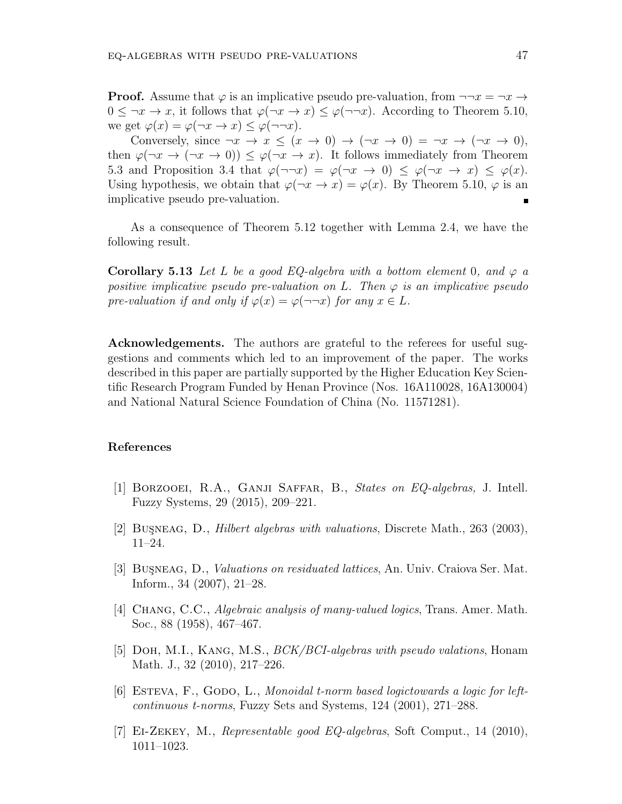**Proof.** Assume that  $\varphi$  is an implicative pseudo pre-valuation, from  $\neg\neg x = \neg x \rightarrow$  $0 \leq \neg x \to x$ , it follows that  $\varphi(\neg x \to x) \leq \varphi(\neg \neg x)$ . According to Theorem 5.10, we get  $\varphi(x) = \varphi(\neg x \to x) \leq \varphi(\neg \neg x)$ .

Conversely, since  $\neg x \rightarrow x \leq (x \rightarrow 0) \rightarrow (\neg x \rightarrow 0) = \neg x \rightarrow (\neg x \rightarrow 0)$ , then  $\varphi(\neg x \to (\neg x \to 0)) \leq \varphi(\neg x \to x)$ . It follows immediately from Theorem 5.3 and Proposition 3.4 that  $\varphi(\neg\neg x) = \varphi(\neg x \to 0) \leq \varphi(\neg x \to x) \leq \varphi(x)$ . Using hypothesis, we obtain that  $\varphi(\neg x \to x) = \varphi(x)$ . By Theorem 5.10,  $\varphi$  is an implicative pseudo pre-valuation.

As a consequence of Theorem 5.12 together with Lemma 2.4, we have the following result.

**Corollary 5.13** *Let L be a good EQ-algebra with a bottom element* 0*, and*  $\varphi$  *a positive implicative pseudo pre-valuation on L. Then φ is an implicative pseudo pre-valuation if and only if*  $\varphi(x) = \varphi(\neg\neg x)$  *for any*  $x \in L$ *.* 

**Acknowledgements.** The authors are grateful to the referees for useful suggestions and comments which led to an improvement of the paper. The works described in this paper are partially supported by the Higher Education Key Scientific Research Program Funded by Henan Province (Nos. 16A110028, 16A130004) and National Natural Science Foundation of China (No. 11571281).

#### **References**

- [1] Borzooei, R.A., Ganji Saffar, B., *States on EQ-algebras,* J. Intell. Fuzzy Systems, 29 (2015), 209–221.
- [2] Bus¸neag, D., *Hilbert algebras with valuations*, Discrete Math., 263 (2003), 11–24.
- [3] BUSNEAG, D., *Valuations on residuated lattices*, An. Univ. Craiova Ser. Mat. Inform., 34 (2007), 21–28.
- [4] Chang, C.C., *Algebraic analysis of many-valued logics*, Trans. Amer. Math. Soc., 88 (1958), 467–467.
- [5] Doh, M.I., Kang, M.S., *BCK/BCI-algebras with pseudo valations*, Honam Math. J., 32 (2010), 217–226.
- [6] Esteva, F., Godo, L., *Monoidal t-norm based logictowards a logic for leftcontinuous t-norms*, Fuzzy Sets and Systems, 124 (2001), 271–288.
- [7] Ei-Zekey, M., *Representable good EQ-algebras*, Soft Comput., 14 (2010), 1011–1023.